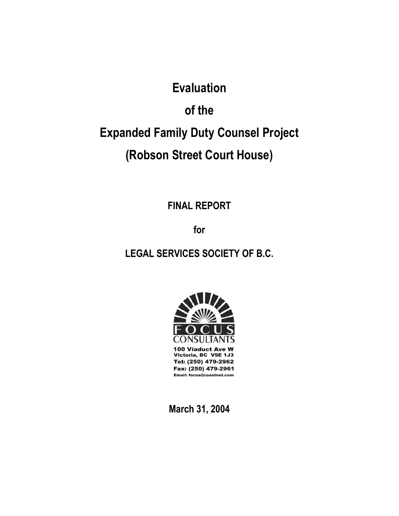# **Evaluation**

# **of the**

# **Expanded Family Duty Counsel Project**

# **(Robson Street Court House)**

**FINAL REPORT** 

**for** 

### **LEGAL SERVICES SOCIETY OF B.C.**



**March 31, 2004**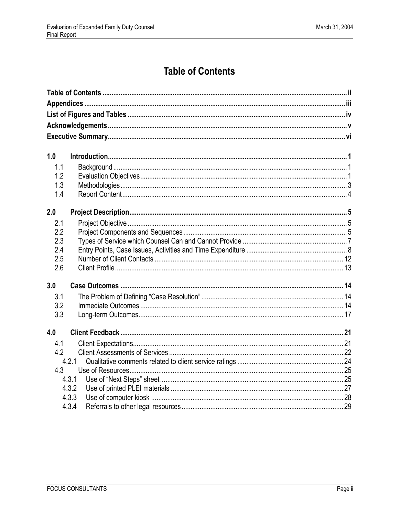# **Table of Contents**

<span id="page-1-0"></span>

| 1.0        |                |  |  |  |  |
|------------|----------------|--|--|--|--|
| 1.1        |                |  |  |  |  |
| 1.2        |                |  |  |  |  |
| 1.3        |                |  |  |  |  |
| 1.4        |                |  |  |  |  |
|            |                |  |  |  |  |
| 2.0        |                |  |  |  |  |
| 2.1        |                |  |  |  |  |
| 2.2        |                |  |  |  |  |
| 2.3        |                |  |  |  |  |
| 2.4<br>2.5 |                |  |  |  |  |
| 2.6        |                |  |  |  |  |
|            |                |  |  |  |  |
| 3.0        |                |  |  |  |  |
| 3.1        |                |  |  |  |  |
| 3.2        |                |  |  |  |  |
| 3.3        |                |  |  |  |  |
|            |                |  |  |  |  |
| 4.0        |                |  |  |  |  |
| 4.1        |                |  |  |  |  |
| 4.2        |                |  |  |  |  |
|            | 4.2.1          |  |  |  |  |
| 4.3        |                |  |  |  |  |
|            | 4.3.1          |  |  |  |  |
|            | 4.3.2<br>4.3.3 |  |  |  |  |
|            | 4.3.4          |  |  |  |  |
|            |                |  |  |  |  |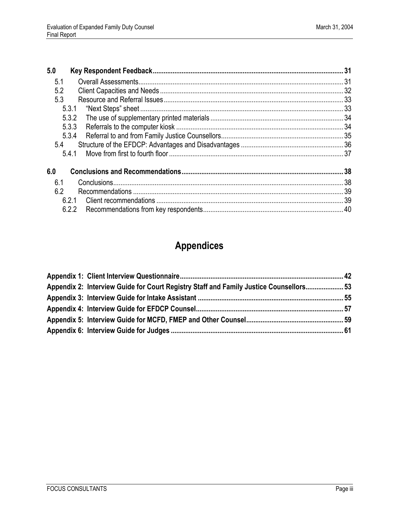| 5.0   |  |
|-------|--|
| 5.1   |  |
| 5.2   |  |
| 5.3   |  |
| 5.3.1 |  |
| 5.3.2 |  |
| 5.3.3 |  |
| 5.3.4 |  |
| 5.4   |  |
| 5.4.1 |  |
| 6.0   |  |
| 6.1   |  |
| 6.2   |  |
| 6.2.1 |  |
| 6.2.2 |  |

# **Appendices**

<span id="page-2-0"></span>

| Appendix 2: Interview Guide for Court Registry Staff and Family Justice Counsellors 53 |  |
|----------------------------------------------------------------------------------------|--|
|                                                                                        |  |
|                                                                                        |  |
|                                                                                        |  |
|                                                                                        |  |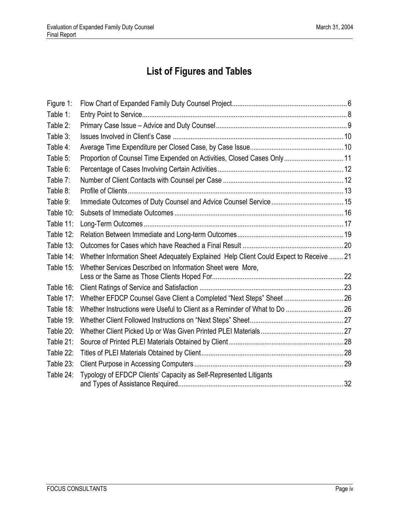# **List of Figures and Tables**

<span id="page-3-0"></span>

| Figure 1: |                                                                                        |  |
|-----------|----------------------------------------------------------------------------------------|--|
| Table 1:  |                                                                                        |  |
| Table 2:  |                                                                                        |  |
| Table 3:  |                                                                                        |  |
| Table 4:  |                                                                                        |  |
| Table 5:  | Proportion of Counsel Time Expended on Activities, Closed Cases Only 11                |  |
| Table 6:  |                                                                                        |  |
| Table 7:  |                                                                                        |  |
| Table 8:  |                                                                                        |  |
| Table 9:  |                                                                                        |  |
| Table 10: |                                                                                        |  |
| Table 11: |                                                                                        |  |
| Table 12: |                                                                                        |  |
| Table 13: |                                                                                        |  |
| Table 14: | Whether Information Sheet Adequately Explained Help Client Could Expect to Receive  21 |  |
| Table 15: | Whether Services Described on Information Sheet were More,                             |  |
|           |                                                                                        |  |
| Table 16: |                                                                                        |  |
| Table 17: | Whether EFDCP Counsel Gave Client a Completed "Next Steps" Sheet  26                   |  |
| Table 18: |                                                                                        |  |
| Table 19: |                                                                                        |  |
| Table 20: |                                                                                        |  |
| Table 21: |                                                                                        |  |
| Table 22: |                                                                                        |  |
| Table 23: |                                                                                        |  |
| Table 24: | Typology of EFDCP Clients' Capacity as Self-Represented Litigants                      |  |
|           |                                                                                        |  |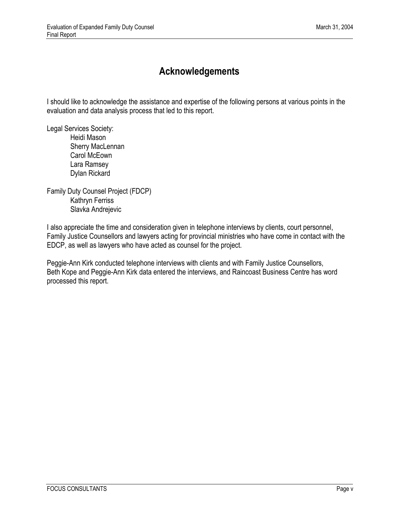### **Acknowledgements**

<span id="page-4-0"></span>I should like to acknowledge the assistance and expertise of the following persons at various points in the evaluation and data analysis process that led to this report.

Legal Services Society: Heidi Mason

 Sherry MacLennan Carol McEown Lara Ramsey Dylan Rickard

Family Duty Counsel Project (FDCP) Kathryn Ferriss Slavka Andrejevic

I also appreciate the time and consideration given in telephone interviews by clients, court personnel, Family Justice Counsellors and lawyers acting for provincial ministries who have come in contact with the EDCP, as well as lawyers who have acted as counsel for the project.

Peggie-Ann Kirk conducted telephone interviews with clients and with Family Justice Counsellors, Beth Kope and Peggie-Ann Kirk data entered the interviews, and Raincoast Business Centre has word processed this report.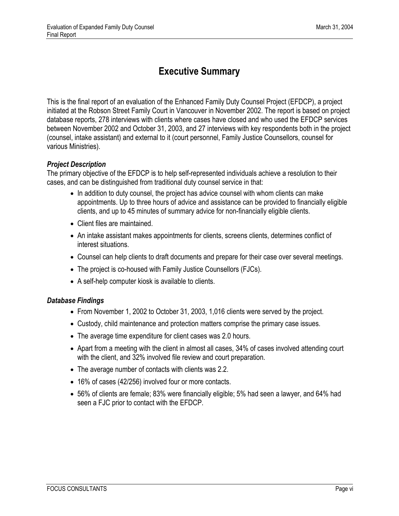### **Executive Summary**

<span id="page-5-0"></span>This is the final report of an evaluation of the Enhanced Family Duty Counsel Project (EFDCP), a project initiated at the Robson Street Family Court in Vancouver in November 2002. The report is based on project database reports, 278 interviews with clients where cases have closed and who used the EFDCP services between November 2002 and October 31, 2003, and 27 interviews with key respondents both in the project (counsel, intake assistant) and external to it (court personnel, Family Justice Counsellors, counsel for various Ministries).

#### *Project Description*

The primary objective of the EFDCP is to help self-represented individuals achieve a resolution to their cases, and can be distinguished from traditional duty counsel service in that:

- In addition to duty counsel, the project has advice counsel with whom clients can make appointments. Up to three hours of advice and assistance can be provided to financially eligible clients, and up to 45 minutes of summary advice for non-financially eligible clients.
- Client files are maintained.
- An intake assistant makes appointments for clients, screens clients, determines conflict of interest situations.
- Counsel can help clients to draft documents and prepare for their case over several meetings.
- The project is co-housed with Family Justice Counsellors (FJCs).
- A self-help computer kiosk is available to clients.

#### *Database Findings*

- From November 1, 2002 to October 31, 2003, 1,016 clients were served by the project.
- Custody, child maintenance and protection matters comprise the primary case issues.
- The average time expenditure for client cases was 2.0 hours.
- Apart from a meeting with the client in almost all cases, 34% of cases involved attending court with the client, and 32% involved file review and court preparation.
- The average number of contacts with clients was 2.2.
- 16% of cases (42/256) involved four or more contacts.
- 56% of clients are female; 83% were financially eligible; 5% had seen a lawyer, and 64% had seen a FJC prior to contact with the EFDCP.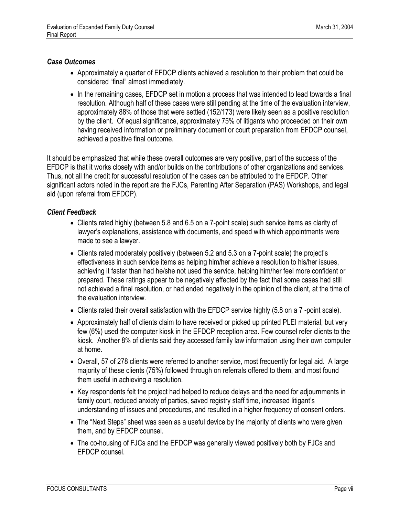#### *Case Outcomes*

- Approximately a quarter of EFDCP clients achieved a resolution to their problem that could be considered "final" almost immediately.
- In the remaining cases, EFDCP set in motion a process that was intended to lead towards a final resolution. Although half of these cases were still pending at the time of the evaluation interview, approximately 88% of those that were settled (152/173) were likely seen as a positive resolution by the client. Of equal significance, approximately 75% of litigants who proceeded on their own having received information or preliminary document or court preparation from EFDCP counsel, achieved a positive final outcome.

It should be emphasized that while these overall outcomes are very positive, part of the success of the EFDCP is that it works closely with and/or builds on the contributions of other organizations and services. Thus, not all the credit for successful resolution of the cases can be attributed to the EFDCP. Other significant actors noted in the report are the FJCs, Parenting After Separation (PAS) Workshops, and legal aid (upon referral from EFDCP).

#### *Client Feedback*

- Clients rated highly (between 5.8 and 6.5 on a 7-point scale) such service items as clarity of lawyer's explanations, assistance with documents, and speed with which appointments were made to see a lawyer.
- Clients rated moderately positively (between 5.2 and 5.3 on a 7-point scale) the project's effectiveness in such service items as helping him/her achieve a resolution to his/her issues, achieving it faster than had he/she not used the service, helping him/her feel more confident or prepared. These ratings appear to be negatively affected by the fact that some cases had still not achieved a final resolution, or had ended negatively in the opinion of the client, at the time of the evaluation interview.
- Clients rated their overall satisfaction with the EFDCP service highly (5.8 on a 7-point scale).
- Approximately half of clients claim to have received or picked up printed PLEI material, but very few (6%) used the computer kiosk in the EFDCP reception area. Few counsel refer clients to the kiosk. Another 8% of clients said they accessed family law information using their own computer at home.
- Overall, 57 of 278 clients were referred to another service, most frequently for legal aid. A large majority of these clients (75%) followed through on referrals offered to them, and most found them useful in achieving a resolution.
- Key respondents felt the project had helped to reduce delays and the need for adjournments in family court, reduced anxiety of parties, saved registry staff time, increased litigant's understanding of issues and procedures, and resulted in a higher frequency of consent orders.
- The "Next Steps" sheet was seen as a useful device by the majority of clients who were given them, and by EFDCP counsel.
- The co-housing of FJCs and the EFDCP was generally viewed positively both by FJCs and EFDCP counsel.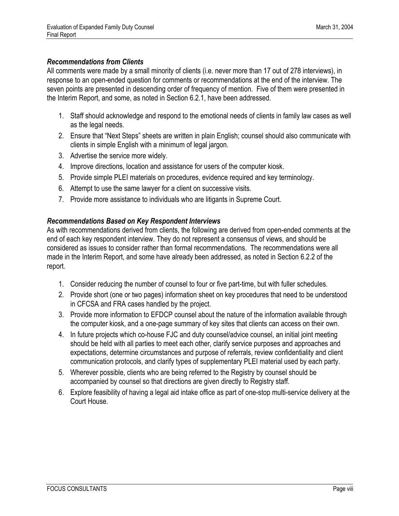#### *Recommendations from Clients*

All comments were made by a small minority of clients (i.e. never more than 17 out of 278 interviews), in response to an open-ended question for comments or recommendations at the end of the interview. The seven points are presented in descending order of frequency of mention. Five of them were presented in the Interim Report, and some, as noted in Section 6.2.1, have been addressed.

- 1. Staff should acknowledge and respond to the emotional needs of clients in family law cases as well as the legal needs.
- 2. Ensure that "Next Steps" sheets are written in plain English; counsel should also communicate with clients in simple English with a minimum of legal jargon.
- 3. Advertise the service more widely.
- 4. Improve directions, location and assistance for users of the computer kiosk.
- 5. Provide simple PLEI materials on procedures, evidence required and key terminology.
- 6. Attempt to use the same lawyer for a client on successive visits.
- 7. Provide more assistance to individuals who are litigants in Supreme Court.

#### *Recommendations Based on Key Respondent Interviews*

As with recommendations derived from clients, the following are derived from open-ended comments at the end of each key respondent interview. They do not represent a consensus of views, and should be considered as issues to consider rather than formal recommendations. The recommendations were all made in the Interim Report, and some have already been addressed, as noted in Section 6.2.2 of the report.

- 1. Consider reducing the number of counsel to four or five part-time, but with fuller schedules.
- 2. Provide short (one or two pages) information sheet on key procedures that need to be understood in CFCSA and FRA cases handled by the project.
- 3. Provide more information to EFDCP counsel about the nature of the information available through the computer kiosk, and a one-page summary of key sites that clients can access on their own.
- 4. In future projects which co-house FJC and duty counsel/advice counsel, an initial joint meeting should be held with all parties to meet each other, clarify service purposes and approaches and expectations, determine circumstances and purpose of referrals, review confidentiality and client communication protocols, and clarify types of supplementary PLEI material used by each party.
- 5. Wherever possible, clients who are being referred to the Registry by counsel should be accompanied by counsel so that directions are given directly to Registry staff.
- 6. Explore feasibility of having a legal aid intake office as part of one-stop multi-service delivery at the Court House.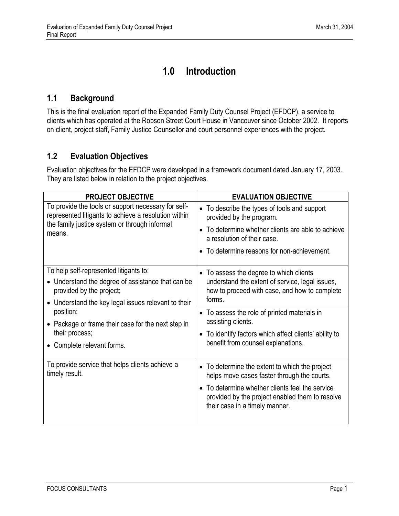### **1.0 Introduction**

#### <span id="page-8-1"></span><span id="page-8-0"></span>**1.1 Background**

This is the final evaluation report of the Expanded Family Duty Counsel Project (EFDCP), a service to clients which has operated at the Robson Street Court House in Vancouver since October 2002. It reports on client, project staff, Family Justice Counsellor and court personnel experiences with the project.

#### <span id="page-8-2"></span>**1.2 Evaluation Objectives**

Evaluation objectives for the EFDCP were developed in a framework document dated January 17, 2003. They are listed below in relation to the project objectives.

| <b>PROJECT OBJECTIVE</b>                                                                                                | <b>EVALUATION OBJECTIVE</b>                                                                                                                           |  |  |
|-------------------------------------------------------------------------------------------------------------------------|-------------------------------------------------------------------------------------------------------------------------------------------------------|--|--|
| To provide the tools or support necessary for self-<br>represented litigants to achieve a resolution within             | • To describe the types of tools and support<br>provided by the program.                                                                              |  |  |
| the family justice system or through informal<br>means.                                                                 | • To determine whether clients are able to achieve<br>a resolution of their case.                                                                     |  |  |
|                                                                                                                         | • To determine reasons for non-achievement.                                                                                                           |  |  |
| To help self-represented litigants to:<br>• Understand the degree of assistance that can be<br>provided by the project; | • To assess the degree to which clients<br>understand the extent of service, legal issues,<br>how to proceed with case, and how to complete<br>forms. |  |  |
| • Understand the key legal issues relevant to their<br>position;                                                        | • To assess the role of printed materials in<br>assisting clients.                                                                                    |  |  |
| • Package or frame their case for the next step in<br>their process;                                                    | • To identify factors which affect clients' ability to                                                                                                |  |  |
| • Complete relevant forms.                                                                                              | benefit from counsel explanations.                                                                                                                    |  |  |
| To provide service that helps clients achieve a<br>timely result.                                                       | • To determine the extent to which the project<br>helps move cases faster through the courts.                                                         |  |  |
|                                                                                                                         | To determine whether clients feel the service<br>provided by the project enabled them to resolve<br>their case in a timely manner.                    |  |  |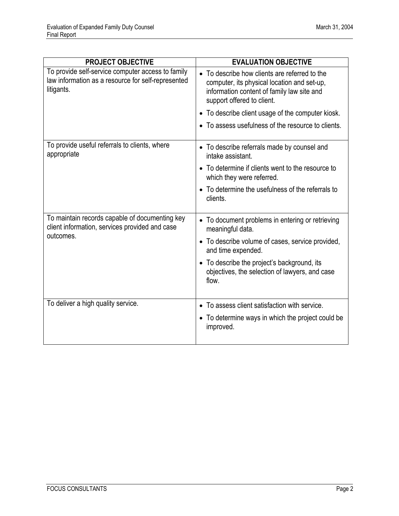| <b>PROJECT OBJECTIVE</b>                                                                                              | <b>EVALUATION OBJECTIVE</b>                                                                                                                                              |  |  |
|-----------------------------------------------------------------------------------------------------------------------|--------------------------------------------------------------------------------------------------------------------------------------------------------------------------|--|--|
| To provide self-service computer access to family<br>law information as a resource for self-represented<br>litigants. | • To describe how clients are referred to the<br>computer, its physical location and set-up,<br>information content of family law site and<br>support offered to client. |  |  |
|                                                                                                                       | • To describe client usage of the computer kiosk.                                                                                                                        |  |  |
|                                                                                                                       | • To assess usefulness of the resource to clients.                                                                                                                       |  |  |
| To provide useful referrals to clients, where<br>appropriate                                                          | • To describe referrals made by counsel and<br>intake assistant.                                                                                                         |  |  |
|                                                                                                                       | • To determine if clients went to the resource to<br>which they were referred.                                                                                           |  |  |
|                                                                                                                       | • To determine the usefulness of the referrals to<br>clients.                                                                                                            |  |  |
| To maintain records capable of documenting key<br>client information, services provided and case                      | • To document problems in entering or retrieving<br>meaningful data.                                                                                                     |  |  |
| outcomes.                                                                                                             | • To describe volume of cases, service provided,<br>and time expended.                                                                                                   |  |  |
|                                                                                                                       | • To describe the project's background, its<br>objectives, the selection of lawyers, and case<br>flow.                                                                   |  |  |
| To deliver a high quality service.                                                                                    | • To assess client satisfaction with service.                                                                                                                            |  |  |
|                                                                                                                       | • To determine ways in which the project could be<br>improved.                                                                                                           |  |  |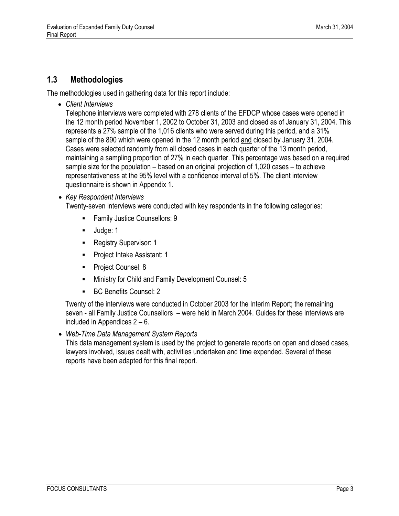#### <span id="page-10-0"></span>**1.3 Methodologies**

The methodologies used in gathering data for this report include:

• *Client Interviews* 

Telephone interviews were completed with 278 clients of the EFDCP whose cases were opened in the 12 month period November 1, 2002 to October 31, 2003 and closed as of January 31, 2004. This represents a 27% sample of the 1,016 clients who were served during this period, and a 31% sample of the 890 which were opened in the 12 month period and closed by January 31, 2004. Cases were selected randomly from all closed cases in each quarter of the 13 month period, maintaining a sampling proportion of 27% in each quarter. This percentage was based on a required sample size for the population – based on an original projection of 1,020 cases – to achieve representativeness at the 95% level with a confidence interval of 5%. The client interview questionnaire is shown in Appendix 1.

• *Key Respondent Interviews* 

Twenty-seven interviews were conducted with key respondents in the following categories:

- **Family Justice Counsellors: 9**
- Uudge: 1
- **Registry Supervisor: 1**
- **Project Intake Assistant: 1**
- **Project Counsel: 8**
- Ministry for Child and Family Development Counsel: 5
- BC Benefits Counsel: 2

 Twenty of the interviews were conducted in October 2003 for the Interim Report; the remaining seven - all Family Justice Counsellors – were held in March 2004. Guides for these interviews are included in Appendices 2 – 6.

• *Web-Time Data Management System Reports* 

This data management system is used by the project to generate reports on open and closed cases, lawyers involved, issues dealt with, activities undertaken and time expended. Several of these reports have been adapted for this final report.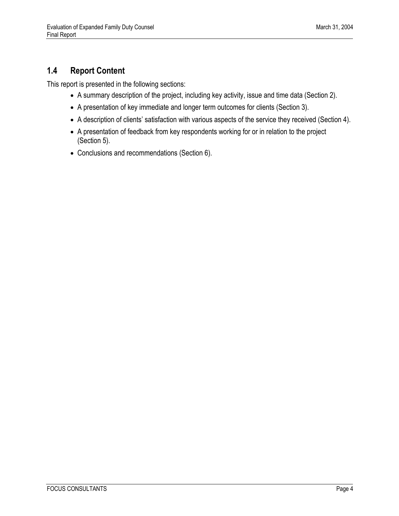### <span id="page-11-0"></span>**1.4 Report Content**

This report is presented in the following sections:

- A summary description of the project, including key activity, issue and time data (Section 2).
- A presentation of key immediate and longer term outcomes for clients (Section 3).
- A description of clients' satisfaction with various aspects of the service they received (Section 4).
- A presentation of feedback from key respondents working for or in relation to the project (Section 5).
- Conclusions and recommendations (Section 6).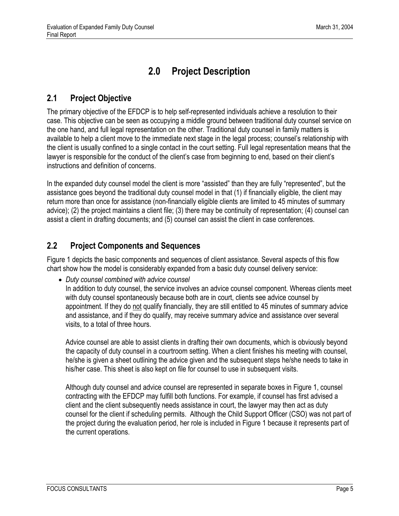## **2.0 Project Description**

### <span id="page-12-1"></span><span id="page-12-0"></span>**2.1 Project Objective**

The primary objective of the EFDCP is to help self-represented individuals achieve a resolution to their case. This objective can be seen as occupying a middle ground between traditional duty counsel service on the one hand, and full legal representation on the other. Traditional duty counsel in family matters is available to help a client move to the immediate next stage in the legal process; counsel's relationship with the client is usually confined to a single contact in the court setting. Full legal representation means that the lawyer is responsible for the conduct of the client's case from beginning to end, based on their client's instructions and definition of concerns.

In the expanded duty counsel model the client is more "assisted" than they are fully "represented", but the assistance goes beyond the traditional duty counsel model in that (1) if financially eligible, the client may return more than once for assistance (non-financially eligible clients are limited to 45 minutes of summary advice); (2) the project maintains a client file; (3) there may be continuity of representation; (4) counsel can assist a client in drafting documents; and (5) counsel can assist the client in case conferences.

#### <span id="page-12-2"></span>**2.2 Project Components and Sequences**

Figure 1 depicts the basic components and sequences of client assistance. Several aspects of this flow chart show how the model is considerably expanded from a basic duty counsel delivery service:

• *Duty counsel combined with advice counsel* 

In addition to duty counsel, the service involves an advice counsel component. Whereas clients meet with duty counsel spontaneously because both are in court, clients see advice counsel by appointment. If they do not qualify financially, they are still entitled to 45 minutes of summary advice and assistance, and if they do qualify, may receive summary advice and assistance over several visits, to a total of three hours.

Advice counsel are able to assist clients in drafting their own documents, which is obviously beyond the capacity of duty counsel in a courtroom setting. When a client finishes his meeting with counsel, he/she is given a sheet outlining the advice given and the subsequent steps he/she needs to take in his/her case. This sheet is also kept on file for counsel to use in subsequent visits.

Although duty counsel and advice counsel are represented in separate boxes in Figure 1, counsel contracting with the EFDCP may fulfill both functions. For example, if counsel has first advised a client and the client subsequently needs assistance in court, the lawyer may then act as duty counsel for the client if scheduling permits. Although the Child Support Officer (CSO) was not part of the project during the evaluation period, her role is included in Figure 1 because it represents part of the current operations.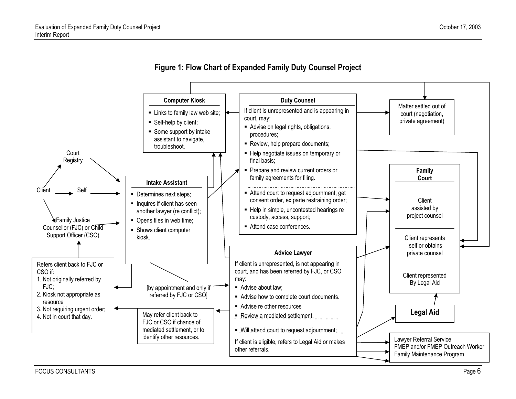

<span id="page-13-0"></span>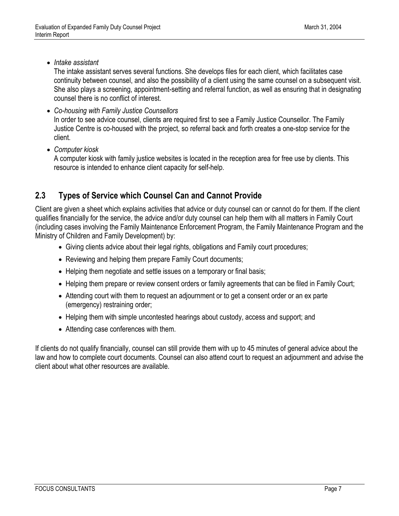• *Intake assistant* 

The intake assistant serves several functions. She develops files for each client, which facilitates case continuity between counsel, and also the possibility of a client using the same counsel on a subsequent visit. She also plays a screening, appointment-setting and referral function, as well as ensuring that in designating counsel there is no conflict of interest.

- *Co-housing with Family Justice Counsellors*  In order to see advice counsel, clients are required first to see a Family Justice Counsellor. The Family Justice Centre is co-housed with the project, so referral back and forth creates a one-stop service for the client.
- *Computer kiosk*

A computer kiosk with family justice websites is located in the reception area for free use by clients. This resource is intended to enhance client capacity for self-help.

### <span id="page-14-0"></span>**2.3 Types of Service which Counsel Can and Cannot Provide**

Client are given a sheet which explains activities that advice or duty counsel can or cannot do for them. If the client qualifies financially for the service, the advice and/or duty counsel can help them with all matters in Family Court (including cases involving the Family Maintenance Enforcement Program, the Family Maintenance Program and the Ministry of Children and Family Development) by:

- Giving clients advice about their legal rights, obligations and Family court procedures;
- Reviewing and helping them prepare Family Court documents;
- Helping them negotiate and settle issues on a temporary or final basis;
- Helping them prepare or review consent orders or family agreements that can be filed in Family Court;
- Attending court with them to request an adjournment or to get a consent order or an ex parte (emergency) restraining order;
- Helping them with simple uncontested hearings about custody, access and support; and
- Attending case conferences with them.

If clients do not qualify financially, counsel can still provide them with up to 45 minutes of general advice about the law and how to complete court documents. Counsel can also attend court to request an adjournment and advise the client about what other resources are available.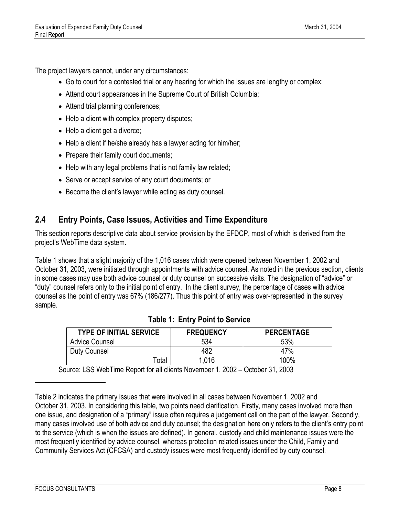The project lawyers cannot, under any circumstances:

- Go to court for a contested trial or any hearing for which the issues are lengthy or complex;
- Attend court appearances in the Supreme Court of British Columbia;
- Attend trial planning conferences;
- Help a client with complex property disputes;
- Help a client get a divorce;
- Help a client if he/she already has a lawyer acting for him/her;
- Prepare their family court documents;
- Help with any legal problems that is not family law related;
- Serve or accept service of any court documents; or
- Become the client's lawyer while acting as duty counsel.

#### <span id="page-15-0"></span>**2.4 Entry Points, Case Issues, Activities and Time Expenditure**

This section reports descriptive data about service provision by the EFDCP, most of which is derived from the project's WebTime data system.

<span id="page-15-1"></span>Table 1 shows that a slight majority of the 1,016 cases which were opened between November 1, 2002 and October 31, 2003, were initiated through appointments with advice counsel. As noted in the previous section, clients in some cases may use both advice counsel or duty counsel on successive visits. The designation of "advice" or "duty" counsel refers only to the initial point of entry. In the client survey, the percentage of cases with advice counsel as the point of entry was 67% (186/277). Thus this point of entry was over-represented in the survey sample.

| <b>TYPE OF INITIAL SERVICE</b> | <b>FREQUENCY</b> | <b>PERCENTAGE</b> |
|--------------------------------|------------------|-------------------|
| <b>Advice Counsel</b>          | 534              | 53%               |
| Duty Counsel                   | 482              | 47%               |
| <sup>⊤</sup> otal              | 1,016            | 100%              |

| <b>Table 1: Entry Point to Service</b> |  |  |  |
|----------------------------------------|--|--|--|
|----------------------------------------|--|--|--|

Source: LSS WebTime Report for all clients November 1, 2002 – October 31, 2003

Table 2 indicates the primary issues that were involved in all cases between November 1, 2002 and October 31, 2003. In considering this table, two points need clarification. Firstly, many cases involved more than one issue, and designation of a "primary" issue often requires a judgement call on the part of the lawyer. Secondly, many cases involved use of both advice and duty counsel; the designation here only refers to the client's entry point to the service (which is when the issues are defined). In general, custody and child maintenance issues were the most frequently identified by advice counsel, whereas protection related issues under the Child, Family and Community Services Act (CFCSA) and custody issues were most frequently identified by duty counsel.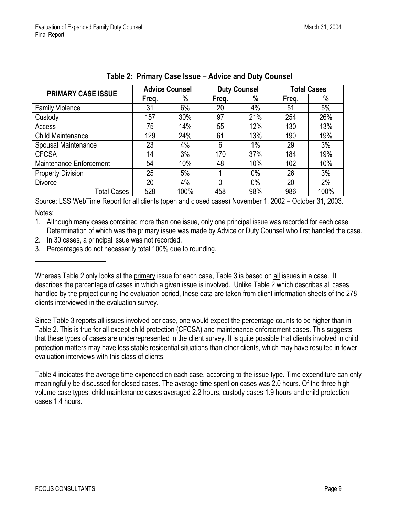<span id="page-16-0"></span>

| <b>PRIMARY CASE ISSUE</b> | <b>Advice Counsel</b> |      | <b>Duty Counsel</b> |       | <b>Total Cases</b> |      |
|---------------------------|-----------------------|------|---------------------|-------|--------------------|------|
|                           | Freq.                 | $\%$ | Freq.               | %     | Freq.              | %    |
| <b>Family Violence</b>    | 31                    | 6%   | 20                  | 4%    | 51                 | 5%   |
| Custody                   | 157                   | 30%  | 97                  | 21%   | 254                | 26%  |
| Access                    | 75                    | 14%  | 55                  | 12%   | 130                | 13%  |
| <b>Child Maintenance</b>  | 129                   | 24%  | 61                  | 13%   | 190                | 19%  |
| Spousal Maintenance       | 23                    | 4%   | 6                   | $1\%$ | 29                 | 3%   |
| <b>CFCSA</b>              | 14                    | 3%   | 170                 | 37%   | 184                | 19%  |
| Maintenance Enforcement   | 54                    | 10%  | 48                  | 10%   | 102                | 10%  |
| <b>Property Division</b>  | 25                    | 5%   |                     | $0\%$ | 26                 | 3%   |
| <b>Divorce</b>            | 20                    | 4%   |                     | $0\%$ | 20                 | 2%   |
| Total Cases               | 528                   | 100% | 458                 | 98%   | 986                | 100% |

#### **Table 2: Primary Case Issue – Advice and Duty Counsel**

Source: LSS WebTime Report for all clients (open and closed cases) November 1, 2002 – October 31, 2003. Notes:

1. Although many cases contained more than one issue, only one principal issue was recorded for each case. Determination of which was the primary issue was made by Advice or Duty Counsel who first handled the case.

2. In 30 cases, a principal issue was not recorded.

3. Percentages do not necessarily total 100% due to rounding.

Since Table 3 reports all issues involved per case, one would expect the percentage counts to be higher than in Table 2. This is true for all except child protection (CFCSA) and maintenance enforcement cases. This suggests that these types of cases are underrepresented in the client survey. It is quite possible that clients involved in child protection matters may have less stable residential situations than other clients, which may have resulted in fewer evaluation interviews with this class of clients.

Table 4 indicates the average time expended on each case, according to the issue type. Time expenditure can only meaningfully be discussed for closed cases. The average time spent on cases was 2.0 hours. Of the three high volume case types, child maintenance cases averaged 2.2 hours, custody cases 1.9 hours and child protection cases 1.4 hours.

Whereas Table 2 only looks at the primary issue for each case, Table 3 is based on all issues in a case. It describes the percentage of cases in which a given issue is involved. Unlike Table 2 which describes all cases handled by the project during the evaluation period, these data are taken from client information sheets of the 278 clients interviewed in the evaluation survey.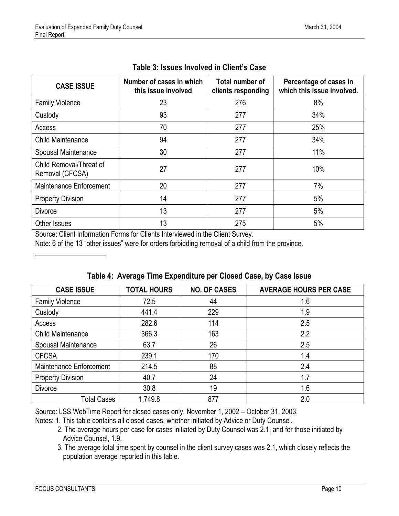<span id="page-17-1"></span><span id="page-17-0"></span>

| <b>CASE ISSUE</b>                          | Number of cases in which<br>this issue involved | <b>Total number of</b><br>clients responding | Percentage of cases in<br>which this issue involved. |
|--------------------------------------------|-------------------------------------------------|----------------------------------------------|------------------------------------------------------|
| <b>Family Violence</b>                     | 23                                              | 276                                          | 8%                                                   |
| Custody                                    | 93                                              | 277                                          | 34%                                                  |
| Access                                     | 70                                              | 277                                          | 25%                                                  |
| <b>Child Maintenance</b>                   | 94                                              | 277                                          | 34%                                                  |
| Spousal Maintenance                        | 30                                              | 277                                          | 11%                                                  |
| Child Removal/Threat of<br>Removal (CFCSA) | 27                                              | 277                                          | 10%                                                  |
| Maintenance Enforcement                    | 20                                              | 277                                          | 7%                                                   |
| <b>Property Division</b>                   | 14                                              | 277                                          | 5%                                                   |
| <b>Divorce</b>                             | 13                                              | 277                                          | 5%                                                   |
| Other Issues                               | 13                                              | 275                                          | 5%                                                   |

#### **Table 3: Issues Involved in Client's Case**

Source: Client Information Forms for Clients Interviewed in the Client Survey.

Note: 6 of the 13 "other issues" were for orders forbidding removal of a child from the province.

| <b>CASE ISSUE</b>        | <b>TOTAL HOURS</b> | <b>NO. OF CASES</b> | <b>AVERAGE HOURS PER CASE</b> |
|--------------------------|--------------------|---------------------|-------------------------------|
| <b>Family Violence</b>   | 72.5               | 44                  | 1.6                           |
| Custody                  | 441.4              | 229                 | 1.9                           |
| Access                   | 282.6              | 114                 | 2.5                           |
| <b>Child Maintenance</b> | 366.3              | 163                 | 2.2                           |
| Spousal Maintenance      | 63.7               | 26                  | 2.5                           |
| <b>CFCSA</b>             | 239.1              | 170                 | 1.4                           |
| Maintenance Enforcement  | 214.5              | 88                  | 2.4                           |
| <b>Property Division</b> | 40.7               | 24                  | 1.7                           |
| <b>Divorce</b>           | 30.8               | 19                  | 1.6                           |
| <b>Total Cases</b>       | 1,749.8            | 877                 | 2.0                           |

#### **Table 4: Average Time Expenditure per Closed Case, by Case Issue**

Source: LSS WebTime Report for closed cases only, November 1, 2002 – October 31, 2003.

- 2. The average hours per case for cases initiated by Duty Counsel was 2.1, and for those initiated by Advice Counsel, 1.9.
- 3. The average total time spent by counsel in the client survey cases was 2.1, which closely reflects the population average reported in this table.

Notes: 1. This table contains all closed cases, whether initiated by Advice or Duty Counsel.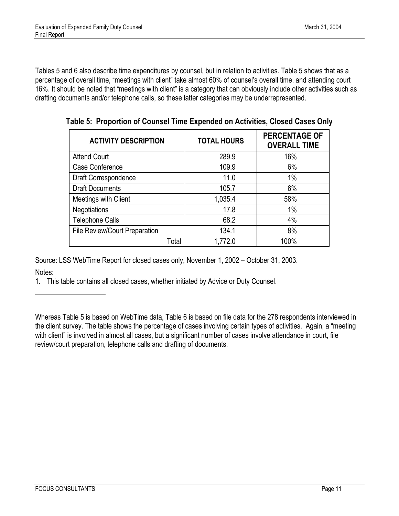<span id="page-18-0"></span>Tables 5 and 6 also describe time expenditures by counsel, but in relation to activities. Table 5 shows that as a percentage of overall time, "meetings with client" take almost 60% of counsel's overall time, and attending court 16%. It should be noted that "meetings with client" is a category that can obviously include other activities such as drafting documents and/or telephone calls, so these latter categories may be underrepresented.

| <b>ACTIVITY DESCRIPTION</b>          | <b>TOTAL HOURS</b> | <b>PERCENTAGE OF</b><br><b>OVERALL TIME</b> |  |
|--------------------------------------|--------------------|---------------------------------------------|--|
| <b>Attend Court</b>                  | 289.9              | 16%                                         |  |
| Case Conference                      | 109.9              | 6%                                          |  |
| Draft Correspondence                 | 11.0               | 1%                                          |  |
| <b>Draft Documents</b>               | 105.7              | 6%                                          |  |
| Meetings with Client                 | 1,035.4            | 58%                                         |  |
| <b>Negotiations</b>                  | 17.8               | 1%                                          |  |
| <b>Telephone Calls</b>               | 68.2               | 4%                                          |  |
| <b>File Review/Court Preparation</b> | 134.1              | 8%                                          |  |
| Total                                | 1,772.0            | 100%                                        |  |

**Table 5: Proportion of Counsel Time Expended on Activities, Closed Cases Only** 

Source: LSS WebTime Report for closed cases only, November 1, 2002 – October 31, 2003.

Notes:

l

1. This table contains all closed cases, whether initiated by Advice or Duty Counsel.

Whereas Table 5 is based on WebTime data, Table 6 is based on file data for the 278 respondents interviewed in the client survey. The table shows the percentage of cases involving certain types of activities. Again, a "meeting with client" is involved in almost all cases, but a significant number of cases involve attendance in court, file review/court preparation, telephone calls and drafting of documents.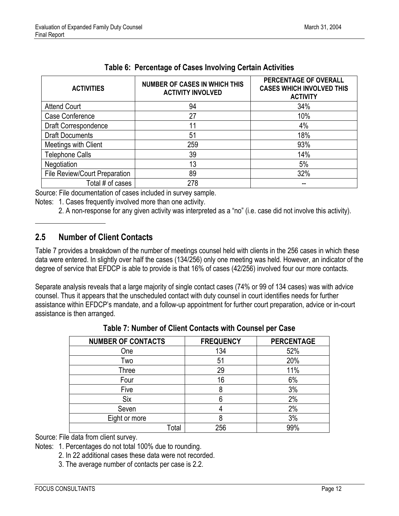<span id="page-19-1"></span>

| <b>ACTIVITIES</b>             | <b>NUMBER OF CASES IN WHICH THIS</b><br><b>ACTIVITY INVOLVED</b> | PERCENTAGE OF OVERALL<br><b>CASES WHICH INVOLVED THIS</b><br><b>ACTIVITY</b> |
|-------------------------------|------------------------------------------------------------------|------------------------------------------------------------------------------|
| <b>Attend Court</b>           | 94                                                               | 34%                                                                          |
| Case Conference               | 27                                                               | 10%                                                                          |
| Draft Correspondence          | 11                                                               | 4%                                                                           |
| <b>Draft Documents</b>        | 51                                                               | 18%                                                                          |
| Meetings with Client          | 259                                                              | 93%                                                                          |
| <b>Telephone Calls</b>        | 39                                                               | 14%                                                                          |
| Negotiation                   | 13                                                               | 5%                                                                           |
| File Review/Court Preparation | 89                                                               | 32%                                                                          |
| Total # of cases              | 278                                                              |                                                                              |

|  | Table 6: Percentage of Cases Involving Certain Activities |  |  |  |  |
|--|-----------------------------------------------------------|--|--|--|--|
|--|-----------------------------------------------------------|--|--|--|--|

Source: File documentation of cases included in survey sample.

Notes: 1. Cases frequently involved more than one activity.

2. A non-response for any given activity was interpreted as a "no" (i.e. case did not involve this activity).

#### <span id="page-19-0"></span>**2.5 Number of Client Contacts**

 $\overline{\phantom{a}}$ 

Table 7 provides a breakdown of the number of meetings counsel held with clients in the 256 cases in which these data were entered. In slightly over half the cases (134/256) only one meeting was held. However, an indicator of the degree of service that EFDCP is able to provide is that 16% of cases (42/256) involved four our more contacts.

Separate analysis reveals that a large majority of single contact cases (74% or 99 of 134 cases) was with advice counsel. Thus it appears that the unscheduled contact with duty counsel in court identifies needs for further assistance within EFDCP's mandate, and a follow-up appointment for further court preparation, advice or in-court assistance is then arranged.

| <b>NUMBER OF CONTACTS</b> | <b>FREQUENCY</b> | <b>PERCENTAGE</b> |
|---------------------------|------------------|-------------------|
| One                       | 134              | 52%               |
| Two                       | 51               | 20%               |
| Three                     | 29               | 11%               |
| Four                      | 16               | 6%                |
| Five                      | 8                | 3%                |
| <b>Six</b>                |                  | 2%                |
| Seven                     |                  | 2%                |
| Eight or more             | 8                | 3%                |
| Total                     | 256              | 99%               |

**Table 7: Number of Client Contacts with Counsel per Case** 

Source: File data from client survey.

Notes: 1. Percentages do not total 100% due to rounding.

- 2. In 22 additional cases these data were not recorded.
- 3. The average number of contacts per case is 2.2.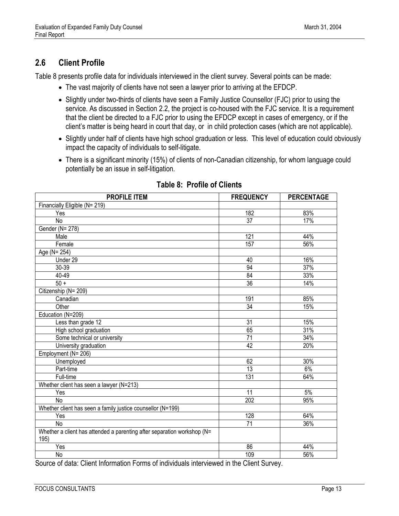#### <span id="page-20-1"></span><span id="page-20-0"></span>**2.6 Client Profile**

Table 8 presents profile data for individuals interviewed in the client survey. Several points can be made:

- The vast majority of clients have not seen a lawyer prior to arriving at the EFDCP.
- Slightly under two-thirds of clients have seen a Family Justice Counsellor (FJC) prior to using the service. As discussed in Section 2.2, the project is co-housed with the FJC service. It is a requirement that the client be directed to a FJC prior to using the EFDCP except in cases of emergency, or if the client's matter is being heard in court that day, or in child protection cases (which are not applicable).
- Slightly under half of clients have high school graduation or less. This level of education could obviously impact the capacity of individuals to self-litigate.
- There is a significant minority (15%) of clients of non-Canadian citizenship, for whom language could potentially be an issue in self-litigation.

| <b>PROFILE ITEM</b>                                                     | <b>FREQUENCY</b> | <b>PERCENTAGE</b> |
|-------------------------------------------------------------------------|------------------|-------------------|
| Financially Eligible (N= 219)                                           |                  |                   |
| Yes                                                                     | 182              | 83%               |
| <b>No</b>                                                               | $\overline{37}$  | 17%               |
| Gender (N= 278)                                                         |                  |                   |
| Male                                                                    | 121              | 44%               |
| Female                                                                  | 157              | 56%               |
| Age (N= 254)                                                            |                  |                   |
| Under 29                                                                | 40               | 16%               |
| 30-39                                                                   | 94               | 37%               |
| 40-49                                                                   | 84               | 33%               |
| $50 +$                                                                  | $\overline{36}$  | 14%               |
| Citizenship (N= 209)                                                    |                  |                   |
| Canadian                                                                | 191              | 85%               |
| Other                                                                   | $\overline{34}$  | 15%               |
| Education (N=209)                                                       |                  |                   |
| Less than grade 12                                                      | 31               | 15%               |
| High school graduation                                                  | 65               | 31%               |
| Some technical or university                                            | $\overline{71}$  | 34%               |
| University graduation                                                   | $\overline{42}$  | 20%               |
| Employment (N= 206)                                                     |                  |                   |
| Unemployed                                                              | 62               | 30%               |
| Part-time                                                               | $\overline{13}$  | 6%                |
| Full-time                                                               | 131              | 64%               |
| Whether client has seen a lawyer (N=213)                                |                  |                   |
| Yes                                                                     | 11               | 5%                |
| <b>No</b>                                                               | 202              | 95%               |
| Whether client has seen a family justice counsellor (N=199)             |                  |                   |
| Yes                                                                     | 128              | 64%               |
| No                                                                      | 71               | 36%               |
| Whether a client has attended a parenting after separation workshop (N= |                  |                   |
| 195)                                                                    |                  |                   |
| Yes                                                                     | 86               | 44%               |
| No                                                                      | 109              | 56%               |

#### **Table 8: Profile of Clients**

Source of data: Client Information Forms of individuals interviewed in the Client Survey.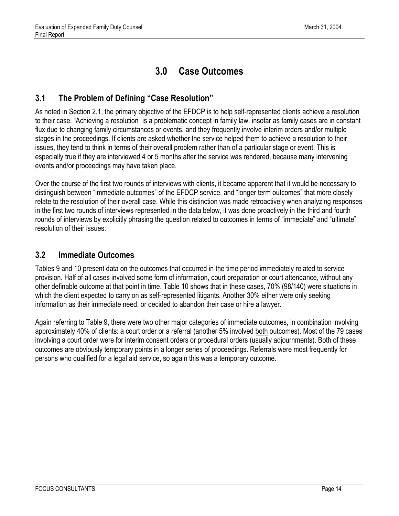### **3.0 Case Outcomes**

#### <span id="page-21-1"></span><span id="page-21-0"></span>**3.1 The Problem of Defining "Case Resolution"**

As noted in Section 2.1, the primary objective of the EFDCP is to help self-represented clients achieve a resolution to their case. "Achieving a resolution" is a problematic concept in family law, insofar as family cases are in constant flux due to changing family circumstances or events, and they frequently involve interim orders and/or multiple stages in the proceedings. If clients are asked whether the service helped them to achieve a resolution to their issues, they tend to think in terms of their overall problem rather than of a particular stage or event. This is especially true if they are interviewed 4 or 5 months after the service was rendered, because many intervening events and/or proceedings may have taken place.

Over the course of the first two rounds of interviews with clients, it became apparent that it would be necessary to distinguish between "immediate outcomes" of the EFDCP service, and "longer term outcomes" that more closely relate to the resolution of their overall case. While this distinction was made retroactively when analyzing responses in the first two rounds of interviews represented in the data below, it was done proactively in the third and fourth rounds of interviews by explicitly phrasing the question related to outcomes in terms of "immediate" and "ultimate" resolution of their issues.

#### <span id="page-21-2"></span>**3.2 Immediate Outcomes**

Tables 9 and 10 present data on the outcomes that occurred in the time period immediately related to service provision. Half of all cases involved some form of information, court preparation or court attendance, without any other definable outcome at that point in time. Table 10 shows that in these cases, 70% (98/140) were situations in which the client expected to carry on as self-represented litigants. Another 30% either were only seeking information as their immediate need, or decided to abandon their case or hire a lawyer.

Again referring to Table 9, there were two other major categories of immediate outcomes, in combination involving approximately 40% of clients: a court order or a referral (another 5% involved both outcomes). Most of the 79 cases involving a court order were for interim consent orders or procedural orders (usually adjournments). Both of these outcomes are obviously temporary points in a longer series of proceedings. Referrals were most frequently for persons who qualified for a legal aid service, so again this was a temporary outcome.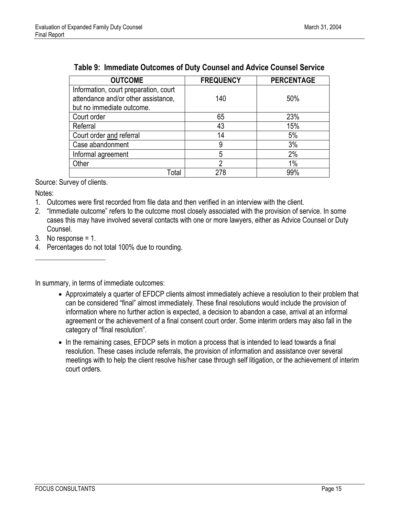| <b>OUTCOME</b>                        | <b>FREQUENCY</b> | <b>PERCENTAGE</b> |
|---------------------------------------|------------------|-------------------|
| Information, court preparation, court |                  |                   |
| attendance and/or other assistance.   | 140              | 50%               |
| but no immediate outcome.             |                  |                   |
| Court order                           | 65               | 23%               |
| Referral                              | 43               | 15%               |
| Court order and referral              | 14               | 5%                |
| Case abandonment                      | 9                | 3%                |
| Informal agreement                    | 5                | 2%                |
| Other                                 | 2                | $1\%$             |
| Total                                 | 278              | 99%               |

#### <span id="page-22-0"></span>**Table 9: Immediate Outcomes of Duty Counsel and Advice Counsel Service**

Source: Survey of clients.

Notes:

l

- 1. Outcomes were first recorded from file data and then verified in an interview with the client.
- 2. "Immediate outcome" refers to the outcome most closely associated with the provision of service. In some cases this may have involved several contacts with one or more lawyers, either as Advice Counsel or Duty Counsel.
- 3. No response = 1.
- 4. Percentages do not total 100% due to rounding.

In summary, in terms of immediate outcomes:

- Approximately a quarter of EFDCP clients almost immediately achieve a resolution to their problem that can be considered "final" almost immediately. These final resolutions would include the provision of information where no further action is expected, a decision to abandon a case, arrival at an informal agreement or the achievement of a final consent court order. Some interim orders may also fall in the category of "final resolution".
- In the remaining cases, EFDCP sets in motion a process that is intended to lead towards a final resolution. These cases include referrals, the provision of information and assistance over several meetings with to help the client resolve his/her case through self litigation, or the achievement of interim court orders.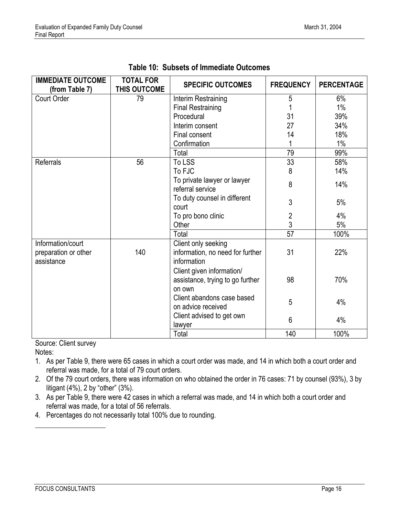<span id="page-23-0"></span>

| <b>IMMEDIATE OUTCOME</b><br>(from Table 7) | <b>TOTAL FOR</b><br>THIS OUTCOME | <b>SPECIFIC OUTCOMES</b>         | <b>FREQUENCY</b> | <b>PERCENTAGE</b> |
|--------------------------------------------|----------------------------------|----------------------------------|------------------|-------------------|
| <b>Court Order</b>                         | 79                               | Interim Restraining              | 5                | 6%                |
|                                            |                                  | <b>Final Restraining</b>         |                  | $1\%$             |
|                                            |                                  | Procedural                       | 31               | 39%               |
|                                            |                                  | Interim consent                  | 27               | 34%               |
|                                            |                                  | Final consent                    | 14               | 18%               |
|                                            |                                  | Confirmation                     |                  | $1\%$             |
|                                            |                                  | Total                            | 79               | 99%               |
| Referrals                                  | 56                               | To LSS                           | 33               | 58%               |
|                                            |                                  | To FJC                           | 8                | 14%               |
|                                            |                                  | To private lawyer or lawyer      | 8                | 14%               |
|                                            |                                  | referral service                 |                  |                   |
|                                            |                                  | To duty counsel in different     | 3                | 5%                |
|                                            |                                  | court                            |                  |                   |
|                                            |                                  | To pro bono clinic               | $\overline{c}$   | 4%                |
|                                            |                                  | Other                            | 3                | 5%                |
|                                            |                                  | Total                            | $\overline{57}$  | 100%              |
| Information/court                          |                                  | Client only seeking              |                  |                   |
| preparation or other                       | 140                              | information, no need for further | 31               | 22%               |
| assistance                                 |                                  | information                      |                  |                   |
|                                            |                                  | Client given information/        |                  |                   |
|                                            |                                  | assistance, trying to go further | 98               | 70%               |
|                                            |                                  | on own                           |                  |                   |
|                                            |                                  | Client abandons case based       | 5                | 4%                |
|                                            |                                  | on advice received               |                  |                   |
|                                            |                                  | Client advised to get own        | 6                | 4%                |
|                                            |                                  | lawyer                           |                  |                   |
|                                            |                                  | Total                            | 140              | 100%              |

**Table 10: Subsets of Immediate Outcomes** 

Source: Client survey Notes:

- 1. As per Table 9, there were 65 cases in which a court order was made, and 14 in which both a court order and referral was made, for a total of 79 court orders.
- 2. Of the 79 court orders, there was information on who obtained the order in 76 cases: 71 by counsel (93%), 3 by litigant (4%), 2 by "other" (3%).
- 3. As per Table 9, there were 42 cases in which a referral was made, and 14 in which both a court order and referral was made, for a total of 56 referrals.
- 4. Percentages do not necessarily total 100% due to rounding.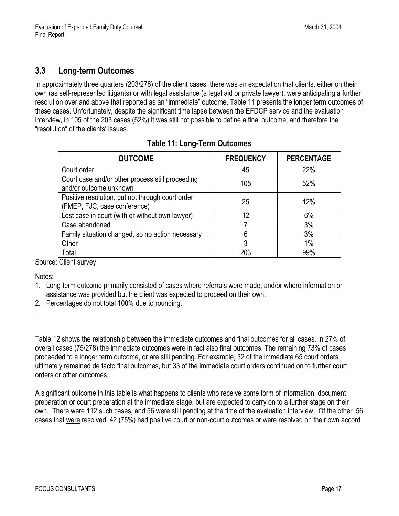#### <span id="page-24-1"></span><span id="page-24-0"></span>**3.3 Long-term Outcomes**

In approximately three quarters (203/278) of the client cases, there was an expectation that clients, either on their own (as self-represented litigants) or with legal assistance (a legal aid or private lawyer), were anticipating a further resolution over and above that reported as an "immediate" outcome. Table 11 presents the longer term outcomes of these cases. Unfortunately, despite the significant time lapse between the EFDCP service and the evaluation interview, in 105 of the 203 cases (52%) it was still not possible to define a final outcome, and therefore the "resolution" of the clients' issues.

| <b>OUTCOME</b>                                                                   | <b>FREQUENCY</b> | <b>PERCENTAGE</b> |
|----------------------------------------------------------------------------------|------------------|-------------------|
| Court order                                                                      | 45               | 22%               |
| Court case and/or other process still proceeding<br>and/or outcome unknown       | 105              | 52%               |
| Positive resolution, but not through court order<br>(FMEP, FJC, case conference) | 25               | 12%               |
| Lost case in court (with or without own lawyer)                                  | 12               | 6%                |
| Case abandoned                                                                   |                  | 3%                |
| Family situation changed, so no action necessary                                 | 6                | 3%                |
| Other                                                                            | 3                | 1%                |
| Total                                                                            | 203              | 99%               |

#### **Table 11: Long-Term Outcomes**

Source: Client survey

Notes:

 $\overline{\phantom{a}}$ 

1. Long-term outcome primarily consisted of cases where referrals were made, and/or where information or assistance was provided but the client was expected to proceed on their own.

2. Percentages do not total 100% due to rounding..

A significant outcome in this table is what happens to clients who receive some form of information, document preparation or court preparation at the immediate stage, but are expected to carry on to a further stage on their own. There were 112 such cases, and 56 were still pending at the time of the evaluation interview. Of the other 56 cases that were resolved, 42 (75%) had positive court or non-court outcomes or were resolved on their own accord

Table 12 shows the relationship between the immediate outcomes and final outcomes for all cases. In 27% of overall cases (75/278) the immediate outcomes were in fact also final outcomes. The remaining 73% of cases proceeded to a longer term outcome, or are still pending. For example, 32 of the immediate 65 court orders ultimately remained de facto final outcomes, but 33 of the immediate court orders continued on to further court orders or other outcomes.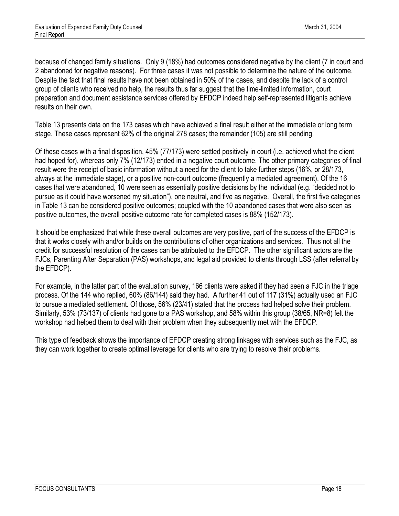because of changed family situations. Only 9 (18%) had outcomes considered negative by the client (7 in court and 2 abandoned for negative reasons). For three cases it was not possible to determine the nature of the outcome. Despite the fact that final results have not been obtained in 50% of the cases, and despite the lack of a control group of clients who received no help, the results thus far suggest that the time-limited information, court preparation and document assistance services offered by EFDCP indeed help self-represented litigants achieve results on their own.

Table 13 presents data on the 173 cases which have achieved a final result either at the immediate or long term stage. These cases represent 62% of the original 278 cases; the remainder (105) are still pending.

Of these cases with a final disposition, 45% (77/173) were settled positively in court (i.e. achieved what the client had hoped for), whereas only 7% (12/173) ended in a negative court outcome. The other primary categories of final result were the receipt of basic information without a need for the client to take further steps (16%, or 28/173, always at the immediate stage), or a positive non-court outcome (frequently a mediated agreement). Of the 16 cases that were abandoned, 10 were seen as essentially positive decisions by the individual (e.g. "decided not to pursue as it could have worsened my situation"), one neutral, and five as negative. Overall, the first five categories in Table 13 can be considered positive outcomes; coupled with the 10 abandoned cases that were also seen as positive outcomes, the overall positive outcome rate for completed cases is 88% (152/173).

It should be emphasized that while these overall outcomes are very positive, part of the success of the EFDCP is that it works closely with and/or builds on the contributions of other organizations and services. Thus not all the credit for successful resolution of the cases can be attributed to the EFDCP. The other significant actors are the FJCs, Parenting After Separation (PAS) workshops, and legal aid provided to clients through LSS (after referral by the EFDCP).

For example, in the latter part of the evaluation survey, 166 clients were asked if they had seen a FJC in the triage process. Of the 144 who replied, 60% (86/144) said they had. A further 41 out of 117 (31%) actually used an FJC to pursue a mediated settlement. Of those, 56% (23/41) stated that the process had helped solve their problem. Similarly, 53% (73/137) of clients had gone to a PAS workshop, and 58% within this group (38/65, NR=8) felt the workshop had helped them to deal with their problem when they subsequently met with the EFDCP.

This type of feedback shows the importance of EFDCP creating strong linkages with services such as the FJC, as they can work together to create optimal leverage for clients who are trying to resolve their problems.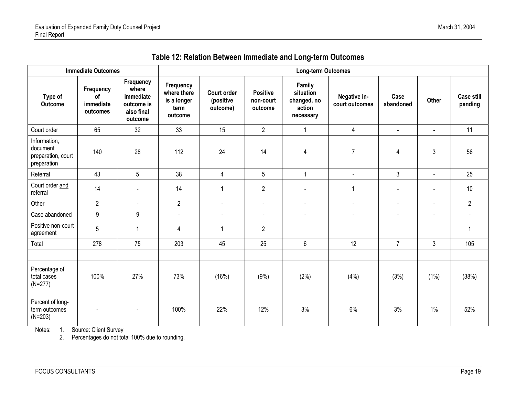<span id="page-26-0"></span>

|                                                               | <b>Immediate Outcomes</b><br><b>Long-term Outcomes</b> |                                                                        |                                                            |                                             |                                         |                                                           |                                |                   |                |                              |
|---------------------------------------------------------------|--------------------------------------------------------|------------------------------------------------------------------------|------------------------------------------------------------|---------------------------------------------|-----------------------------------------|-----------------------------------------------------------|--------------------------------|-------------------|----------------|------------------------------|
| Type of<br><b>Outcome</b>                                     | Frequency<br>of<br>immediate<br>outcomes               | Frequency<br>where<br>immediate<br>outcome is<br>also final<br>outcome | Frequency<br>where there<br>is a longer<br>term<br>outcome | <b>Court order</b><br>(positive<br>outcome) | <b>Positive</b><br>non-court<br>outcome | Family<br>situation<br>changed, no<br>action<br>necessary | Negative in-<br>court outcomes | Case<br>abandoned | Other          | <b>Case still</b><br>pending |
| Court order                                                   | 65                                                     | 32                                                                     | 33                                                         | 15                                          | $\overline{2}$                          | $\mathbf{1}$                                              | $\overline{4}$                 | $\blacksquare$    | $\blacksquare$ | 11                           |
| Information,<br>document<br>preparation, court<br>preparation | 140                                                    | 28                                                                     | 112                                                        | 24                                          | 14                                      | 4                                                         | $\overline{7}$                 | 4                 | 3              | 56                           |
| Referral                                                      | 43                                                     | $5\phantom{.0}$                                                        | 38                                                         | $\overline{4}$                              | 5                                       | $\mathbf{1}$                                              | $\blacksquare$                 | 3                 | $\blacksquare$ | 25                           |
| Court order and<br>referral                                   | 14                                                     | $\blacksquare$                                                         | 14                                                         | $\mathbf 1$                                 | $\overline{2}$                          | $\blacksquare$                                            | $\overline{1}$                 |                   |                | 10                           |
| Other                                                         | $\overline{2}$                                         | $\blacksquare$                                                         | $\overline{2}$                                             | $\mathbf{r}$                                | $\blacksquare$                          | $\sim$                                                    | $\blacksquare$                 | $\blacksquare$    | $\sim$         | $\overline{2}$               |
| Case abandoned                                                | 9                                                      | 9                                                                      | $\Box$                                                     | $\overline{\phantom{a}}$                    | $\blacksquare$                          | $\blacksquare$                                            | $\blacksquare$                 | $\blacksquare$    | $\blacksquare$ |                              |
| Positive non-court<br>agreement                               | 5                                                      | $\overline{1}$                                                         | $\overline{4}$                                             | $\mathbf{1}$                                | $\overline{2}$                          |                                                           |                                |                   |                | $\mathbf{1}$                 |
| Total                                                         | 278                                                    | 75                                                                     | 203                                                        | 45                                          | 25                                      | 6                                                         | 12                             | $\overline{7}$    | 3              | 105                          |
|                                                               |                                                        |                                                                        |                                                            |                                             |                                         |                                                           |                                |                   |                |                              |
| Percentage of<br>total cases<br>$(N=277)$                     | 100%                                                   | 27%                                                                    | 73%                                                        | (16%)                                       | (9%)                                    | (2%)                                                      | (4% )                          | (3%)              | $(1\%)$        | (38%)                        |
| Percent of long-<br>term outcomes<br>$(N=203)$                |                                                        | $\blacksquare$                                                         | 100%                                                       | 22%                                         | 12%                                     | 3%                                                        | 6%                             | 3%                | 1%             | 52%                          |

**Table 12: Relation Between Immediate and Long-term Outcomes** 

Notes: 1. Source: Client Survey

2. Percentages do not total 100% due to rounding.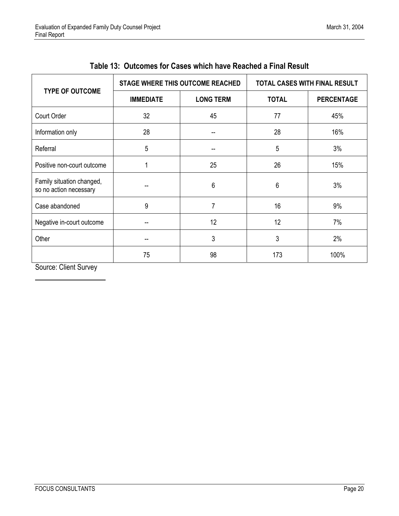<span id="page-27-0"></span>

|                                                     |                                      | STAGE WHERE THIS OUTCOME REACHED | <b>TOTAL CASES WITH FINAL RESULT</b> |                   |  |
|-----------------------------------------------------|--------------------------------------|----------------------------------|--------------------------------------|-------------------|--|
| <b>TYPE OF OUTCOME</b>                              | <b>LONG TERM</b><br><b>IMMEDIATE</b> |                                  | <b>TOTAL</b>                         | <b>PERCENTAGE</b> |  |
| Court Order                                         | 32                                   | 45                               | 77                                   | 45%               |  |
| Information only                                    | 28                                   | --                               | 28                                   | 16%               |  |
| Referral                                            | 5                                    |                                  | 5                                    | 3%                |  |
| Positive non-court outcome                          |                                      | 25                               | 26                                   | 15%               |  |
| Family situation changed,<br>so no action necessary |                                      | 6                                | 6                                    | 3%                |  |
| Case abandoned                                      | 9                                    | $\overline{7}$                   | 16                                   | 9%                |  |
| Negative in-court outcome                           |                                      | 12                               | 12                                   | 7%                |  |
| Other                                               |                                      | 3                                | 3                                    | 2%                |  |
|                                                     | 75                                   | 98                               | 173                                  | 100%              |  |

| Table 13: Outcomes for Cases which have Reached a Final Result |  |
|----------------------------------------------------------------|--|
|----------------------------------------------------------------|--|

Source: Client Survey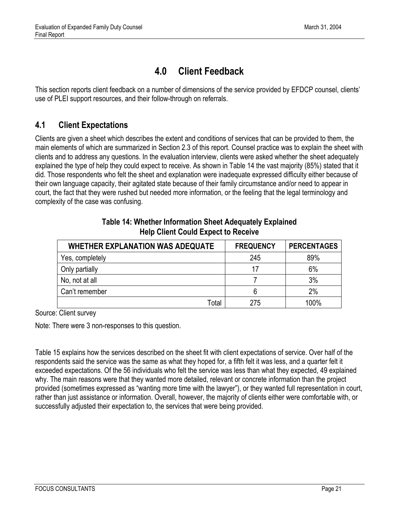### **4.0 Client Feedback**

<span id="page-28-2"></span><span id="page-28-0"></span>This section reports client feedback on a number of dimensions of the service provided by EFDCP counsel, clients' use of PLEI support resources, and their follow-through on referrals.

#### <span id="page-28-1"></span>**4.1 Client Expectations**

Clients are given a sheet which describes the extent and conditions of services that can be provided to them, the main elements of which are summarized in Section 2.3 of this report. Counsel practice was to explain the sheet with clients and to address any questions. In the evaluation interview, clients were asked whether the sheet adequately explained the type of help they could expect to receive. As shown in Table 14 the vast majority (85%) stated that it did. Those respondents who felt the sheet and explanation were inadequate expressed difficulty either because of their own language capacity, their agitated state because of their family circumstance and/or need to appear in court, the fact that they were rushed but needed more information, or the feeling that the legal terminology and complexity of the case was confusing.

| <b>WHETHER EXPLANATION WAS ADEQUATE</b> | <b>FREQUENCY</b> | <b>PERCENTAGES</b> |
|-----------------------------------------|------------------|--------------------|
| Yes, completely                         | 245              | 89%                |
| Only partially                          | 17               | 6%                 |
| No, not at all                          |                  | 3%                 |
| Can't remember                          | 6                | 2%                 |
| Гоtal                                   | 275              | 100%               |

#### **Table 14: Whether Information Sheet Adequately Explained Help Client Could Expect to Receive**

Source: Client survey

Note: There were 3 non-responses to this question.

Table 15 explains how the services described on the sheet fit with client expectations of service. Over half of the respondents said the service was the same as what they hoped for, a fifth felt it was less, and a quarter felt it exceeded expectations. Of the 56 individuals who felt the service was less than what they expected, 49 explained why. The main reasons were that they wanted more detailed, relevant or concrete information than the project provided (sometimes expressed as "wanting more time with the lawyer"), or they wanted full representation in court, rather than just assistance or information. Overall, however, the majority of clients either were comfortable with, or successfully adjusted their expectation to, the services that were being provided.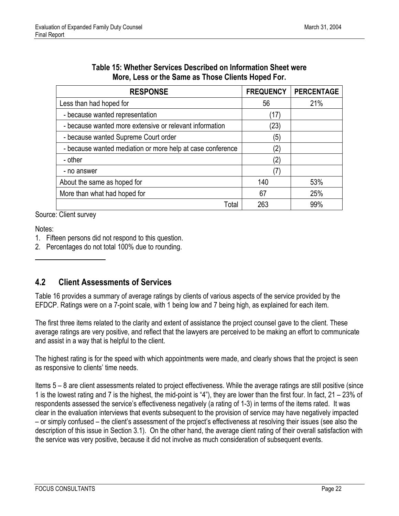<span id="page-29-1"></span>

| <b>RESPONSE</b>                                            | <b>FREQUENCY</b> | <b>PERCENTAGE</b> |
|------------------------------------------------------------|------------------|-------------------|
| Less than had hoped for                                    | 56               | 21%               |
| - because wanted representation                            | (17)             |                   |
| - because wanted more extensive or relevant information    | (23)             |                   |
| - because wanted Supreme Court order                       | (5)              |                   |
| - because wanted mediation or more help at case conference | 2)               |                   |
| - other                                                    | (2)              |                   |
| - no answer                                                |                  |                   |
| About the same as hoped for                                | 140              | 53%               |
| More than what had hoped for                               | 67               | 25%               |
| Total                                                      | 263              | 99%               |

| Table 15: Whether Services Described on Information Sheet were |
|----------------------------------------------------------------|
| More, Less or the Same as Those Clients Hoped For.             |

Source: Client survey

Notes:

 $\overline{\phantom{a}}$ 

- 1. Fifteen persons did not respond to this question.
- 2. Percentages do not total 100% due to rounding.

#### <span id="page-29-0"></span>**4.2 Client Assessments of Services**

Table 16 provides a summary of average ratings by clients of various aspects of the service provided by the EFDCP. Ratings were on a 7-point scale, with 1 being low and 7 being high, as explained for each item.

The first three items related to the clarity and extent of assistance the project counsel gave to the client. These average ratings are very positive, and reflect that the lawyers are perceived to be making an effort to communicate and assist in a way that is helpful to the client.

The highest rating is for the speed with which appointments were made, and clearly shows that the project is seen as responsive to clients' time needs.

Items 5 – 8 are client assessments related to project effectiveness. While the average ratings are still positive (since 1 is the lowest rating and 7 is the highest, the mid-point is "4"), they are lower than the first four. In fact, 21 – 23% of respondents assessed the service's effectiveness negatively (a rating of 1-3) in terms of the items rated. It was clear in the evaluation interviews that events subsequent to the provision of service may have negatively impacted – or simply confused – the client's assessment of the project's effectiveness at resolving their issues (see also the description of this issue in Section 3.1). On the other hand, the average client rating of their overall satisfaction with the service was very positive, because it did not involve as much consideration of subsequent events.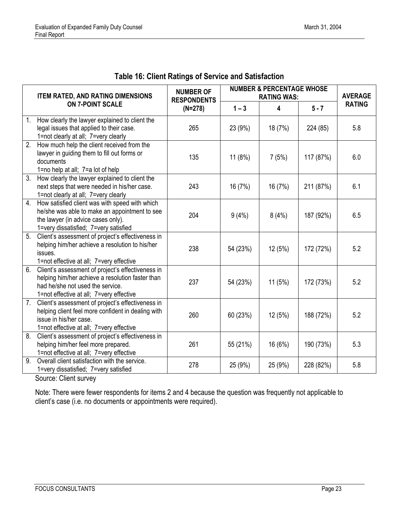| <b>Table 16: Client Ratings of Service and Satisfaction</b> |  |
|-------------------------------------------------------------|--|
|-------------------------------------------------------------|--|

<span id="page-30-0"></span>

|    | <b>ITEM RATED, AND RATING DIMENSIONS</b>                                                                                                                                              | <b>NUMBER OF</b><br><b>RESPONDENTS</b> |          | <b>NUMBER &amp; PERCENTAGE WHOSE</b><br><b>RATING WAS:</b> |           | <b>AVERAGE</b> |
|----|---------------------------------------------------------------------------------------------------------------------------------------------------------------------------------------|----------------------------------------|----------|------------------------------------------------------------|-----------|----------------|
|    | <b>ON 7-POINT SCALE</b>                                                                                                                                                               | $(N=278)$                              | $1 - 3$  | 4                                                          | $5 - 7$   | <b>RATING</b>  |
| 1. | How clearly the lawyer explained to client the<br>legal issues that applied to their case.<br>1=not clearly at all; 7=very clearly                                                    | 265                                    | 23 (9%)  | 18 (7%)                                                    | 224 (85)  | 5.8            |
| 2. | How much help the client received from the<br>lawyer in guiding them to fill out forms or<br>documents<br>1=no help at all; 7=a lot of help                                           | 135                                    | 11(8%)   | 7(5%)                                                      | 117 (87%) | 6.0            |
| 3. | How clearly the lawyer explained to client the<br>next steps that were needed in his/her case.<br>1=not clearly at all; 7=very clearly                                                | 243                                    | 16 (7%)  | 16 (7%)                                                    | 211 (87%) | 6.1            |
| 4. | How satisfied client was with speed with which<br>he/she was able to make an appointment to see<br>the lawyer (in advice cases only).<br>1=very dissatisfied; 7=very satisfied        | 204                                    | 9(4%)    | 8(4%)                                                      | 187 (92%) | 6.5            |
| 5. | Client's assessment of project's effectiveness in<br>helping him/her achieve a resolution to his/her<br>issues.<br>1=not effective at all; 7=very effective                           | 238                                    | 54 (23%) | 12 (5%)                                                    | 172 (72%) | 5.2            |
| 6. | Client's assessment of project's effectiveness in<br>helping him/her achieve a resolution faster than<br>had he/she not used the service.<br>1=not effective at all; 7=very effective | 237                                    | 54 (23%) | 11(5%)                                                     | 172 (73%) | 5.2            |
| 7. | Client's assessment of project's effectiveness in<br>helping client feel more confident in dealing with<br>issue in his/her case.<br>1=not effective at all; 7=very effective         | 260                                    | 60 (23%) | 12(5%)                                                     | 188 (72%) | 5.2            |
| 8. | Client's assessment of project's effectiveness in<br>helping him/her feel more prepared.<br>1=not effective at all; 7=very effective                                                  | 261                                    | 55 (21%) | 16 (6%)                                                    | 190 (73%) | 5.3            |
| 9. | Overall client satisfaction with the service.<br>1=very dissatisfied; 7=very satisfied                                                                                                | 278                                    | 25 (9%)  | 25 (9%)                                                    | 228 (82%) | 5.8            |

Source: Client survey

Note: There were fewer respondents for items 2 and 4 because the question was frequently not applicable to client's case (i.e. no documents or appointments were required).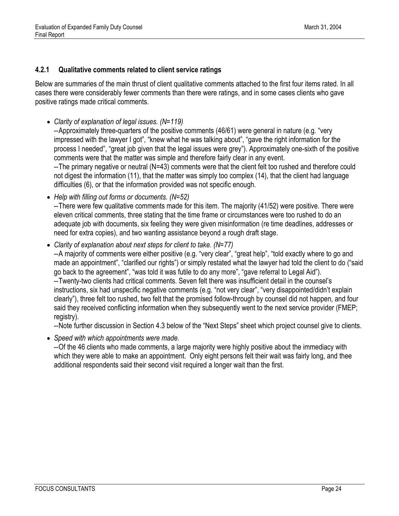#### <span id="page-31-0"></span>**4.2.1 Qualitative comments related to client service ratings**

Below are summaries of the main thrust of client qualitative comments attached to the first four items rated. In all cases there were considerably fewer comments than there were ratings, and in some cases clients who gave positive ratings made critical comments.

• *Clarity of explanation of legal issues. (N=119)* 

-- Approximately three-quarters of the positive comments (46/61) were general in nature (e.g. "very impressed with the lawyer I got", "knew what he was talking about", "gave the right information for the process I needed", "great job given that the legal issues were grey"). Approximately one-sixth of the positive comments were that the matter was simple and therefore fairly clear in any event.

-- The primary negative or neutral (N=43) comments were that the client felt too rushed and therefore could not digest the information (11), that the matter was simply too complex (14), that the client had language difficulties (6), or that the information provided was not specific enough.

• *Help with filling out forms or documents. (N=52)* 

-- There were few qualitative comments made for this item. The majority (41/52) were positive. There were eleven critical comments, three stating that the time frame or circumstances were too rushed to do an adequate job with documents, six feeling they were given misinformation (re time deadlines, addresses or need for extra copies), and two wanting assistance beyond a rough draft stage.

• *Clarity of explanation about next steps for client to take. (N=77)*  -- A majority of comments were either positive (e.g. "very clear", "great help", "told exactly where to go and made an appointment", "clarified our rights") or simply restated what the lawyer had told the client to do ("said go back to the agreement", "was told it was futile to do any more", "gave referral to Legal Aid"). -- Twenty-two clients had critical comments. Seven felt there was insufficient detail in the counsel's instructions, six had unspecific negative comments (e.g. "not very clear", "very disappointed/didn't explain clearly"), three felt too rushed, two felt that the promised follow-through by counsel did not happen, and four said they received conflicting information when they subsequently went to the next service provider (FMEP; registry).

-- Note further discussion in Section 4.3 below of the "Next Steps" sheet which project counsel give to clients.

• *Speed with which appointments were made.* 

-- Of the 46 clients who made comments, a large majority were highly positive about the immediacy with which they were able to make an appointment. Only eight persons felt their wait was fairly long, and thee additional respondents said their second visit required a longer wait than the first.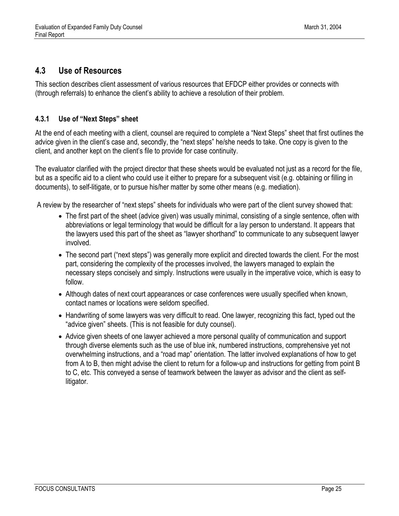#### <span id="page-32-0"></span>**4.3 Use of Resources**

This section describes client assessment of various resources that EFDCP either provides or connects with (through referrals) to enhance the client's ability to achieve a resolution of their problem.

#### <span id="page-32-1"></span>**4.3.1 Use of "Next Steps" sheet**

At the end of each meeting with a client, counsel are required to complete a "Next Steps" sheet that first outlines the advice given in the client's case and, secondly, the "next steps" he/she needs to take. One copy is given to the client, and another kept on the client's file to provide for case continuity.

The evaluator clarified with the project director that these sheets would be evaluated not just as a record for the file, but as a specific aid to a client who could use it either to prepare for a subsequent visit (e.g. obtaining or filling in documents), to self-litigate, or to pursue his/her matter by some other means (e.g. mediation).

A review by the researcher of "next steps" sheets for individuals who were part of the client survey showed that:

- The first part of the sheet (advice given) was usually minimal, consisting of a single sentence, often with abbreviations or legal terminology that would be difficult for a lay person to understand. It appears that the lawyers used this part of the sheet as "lawyer shorthand" to communicate to any subsequent lawyer involved.
- The second part ("next steps") was generally more explicit and directed towards the client. For the most part, considering the complexity of the processes involved, the lawyers managed to explain the necessary steps concisely and simply. Instructions were usually in the imperative voice, which is easy to follow.
- Although dates of next court appearances or case conferences were usually specified when known, contact names or locations were seldom specified.
- Handwriting of some lawyers was very difficult to read. One lawyer, recognizing this fact, typed out the "advice given" sheets. (This is not feasible for duty counsel).
- Advice given sheets of one lawyer achieved a more personal quality of communication and support through diverse elements such as the use of blue ink, numbered instructions, comprehensive yet not overwhelming instructions, and a "road map" orientation. The latter involved explanations of how to get from A to B, then might advise the client to return for a follow-up and instructions for getting from point B to C, etc. This conveyed a sense of teamwork between the lawyer as advisor and the client as selflitigator.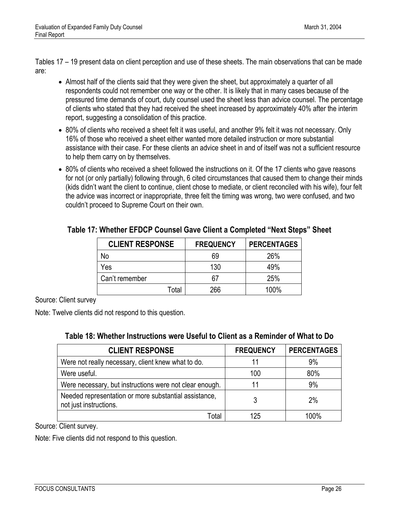<span id="page-33-0"></span>Tables 17 – 19 present data on client perception and use of these sheets. The main observations that can be made are:

- Almost half of the clients said that they were given the sheet, but approximately a quarter of all respondents could not remember one way or the other. It is likely that in many cases because of the pressured time demands of court, duty counsel used the sheet less than advice counsel. The percentage of clients who stated that they had received the sheet increased by approximately 40% after the interim report, suggesting a consolidation of this practice.
- 80% of clients who received a sheet felt it was useful, and another 9% felt it was not necessary. Only 16% of those who received a sheet either wanted more detailed instruction or more substantial assistance with their case. For these clients an advice sheet in and of itself was not a sufficient resource to help them carry on by themselves.
- 80% of clients who received a sheet followed the instructions on it. Of the 17 clients who gave reasons for not (or only partially) following through, 6 cited circumstances that caused them to change their minds (kids didn't want the client to continue, client chose to mediate, or client reconciled with his wife), four felt the advice was incorrect or inappropriate, three felt the timing was wrong, two were confused, and two couldn't proceed to Supreme Court on their own.

| <b>CLIENT RESPONSE</b> | <b>FREQUENCY</b> | <b>PERCENTAGES</b> |
|------------------------|------------------|--------------------|
| No                     | 69               | 26%                |
| Yes                    | 130              | 49%                |
| Can't remember         | 67               | 25%                |
| Total                  | 266              | $100\%$            |

#### **Table 17: Whether EFDCP Counsel Gave Client a Completed "Next Steps" Sheet**

<span id="page-33-1"></span>Source: Client survey

Note: Twelve clients did not respond to this question.

|  | Table 18: Whether Instructions were Useful to Client as a Reminder of What to Do |
|--|----------------------------------------------------------------------------------|
|--|----------------------------------------------------------------------------------|

| <b>CLIENT RESPONSE</b>                                                          | <b>FREQUENCY</b> | <b>PERCENTAGES</b> |
|---------------------------------------------------------------------------------|------------------|--------------------|
| Were not really necessary, client knew what to do.                              | 11               | 9%                 |
| Were useful.                                                                    | 100              | 80%                |
| Were necessary, but instructions were not clear enough.                         | 11               | 9%                 |
| Needed representation or more substantial assistance,<br>not just instructions. | 3                | 2%                 |
| Total                                                                           | 125              | 100%               |

Source: Client survey.

Note: Five clients did not respond to this question.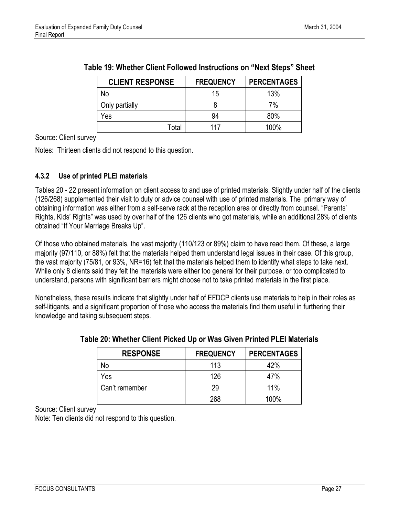| <b>CLIENT RESPONSE</b> | <b>FREQUENCY</b> | <b>PERCENTAGES</b> |
|------------------------|------------------|--------------------|
| No                     | 15               | 13%                |
| Only partially         |                  | 7%                 |
| Yes                    | 94               | 80%                |
| Total                  | 117              | 100%               |

<span id="page-34-1"></span>

| Table 19: Whether Client Followed Instructions on "Next Steps" Sheet |  |  |  |  |
|----------------------------------------------------------------------|--|--|--|--|
|----------------------------------------------------------------------|--|--|--|--|

Source: Client survey

<span id="page-34-0"></span>Notes: Thirteen clients did not respond to this question.

#### **4.3.2 Use of printed PLEI materials**

Tables 20 - 22 present information on client access to and use of printed materials. Slightly under half of the clients (126/268) supplemented their visit to duty or advice counsel with use of printed materials. The primary way of obtaining information was either from a self-serve rack at the reception area or directly from counsel. "Parents' Rights, Kids' Rights" was used by over half of the 126 clients who got materials, while an additional 28% of clients obtained "If Your Marriage Breaks Up".

<span id="page-34-2"></span>Of those who obtained materials, the vast majority (110/123 or 89%) claim to have read them. Of these, a large majority (97/110, or 88%) felt that the materials helped them understand legal issues in their case. Of this group, the vast majority (75/81, or 93%, NR=16) felt that the materials helped them to identify what steps to take next. While only 8 clients said they felt the materials were either too general for their purpose, or too complicated to understand, persons with significant barriers might choose not to take printed materials in the first place.

Nonetheless, these results indicate that slightly under half of EFDCP clients use materials to help in their roles as self-litigants, and a significant proportion of those who access the materials find them useful in furthering their knowledge and taking subsequent steps.

| <b>RESPONSE</b> | <b>FREQUENCY</b> | <b>PERCENTAGES</b> |
|-----------------|------------------|--------------------|
| No              | 113              | 42%                |
| Yes             | 126              | 47%                |
| Can't remember  | 29               | 11%                |
|                 | 268              | 100%               |

#### **Table 20: Whether Client Picked Up or Was Given Printed PLEI Materials**

Source: Client survey Note: Ten clients did not respond to this question.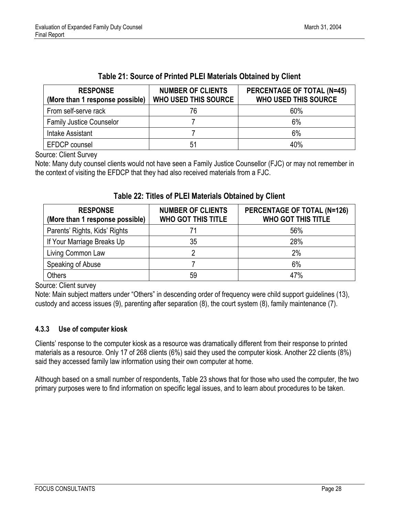<span id="page-35-1"></span>

| <b>RESPONSE</b><br>(More than 1 response possible) | <b>NUMBER OF CLIENTS</b><br><b>WHO USED THIS SOURCE</b> | <b>PERCENTAGE OF TOTAL (N=45)</b><br><b>WHO USED THIS SOURCE</b> |
|----------------------------------------------------|---------------------------------------------------------|------------------------------------------------------------------|
| From self-serve rack                               | 76                                                      | 60%                                                              |
| <b>Family Justice Counselor</b>                    |                                                         | 6%                                                               |
| Intake Assistant                                   |                                                         | 6%                                                               |
| EFDCP counsel                                      | 51                                                      | 40%                                                              |

#### **Table 21: Source of Printed PLEI Materials Obtained by Client**

Source: Client Survey

Note: Many duty counsel clients would not have seen a Family Justice Counsellor (FJC) or may not remember in the context of visiting the EFDCP that they had also received materials from a FJC.

| <b>RESPONSE</b><br>(More than 1 response possible) | <b>NUMBER OF CLIENTS</b><br><b>WHO GOT THIS TITLE</b> | PERCENTAGE OF TOTAL (N=126)<br><b>WHO GOT THIS TITLE</b> |
|----------------------------------------------------|-------------------------------------------------------|----------------------------------------------------------|
| Parents' Rights, Kids' Rights                      | 71                                                    | 56%                                                      |
| If Your Marriage Breaks Up                         | 35                                                    | 28%                                                      |
| Living Common Law                                  | ŋ                                                     | 2%                                                       |
| Speaking of Abuse                                  |                                                       | 6%                                                       |
| <b>Others</b>                                      | 59                                                    | 47%                                                      |

#### **Table 22: Titles of PLEI Materials Obtained by Client**

Source: Client survey

<span id="page-35-0"></span>Note: Main subject matters under "Others" in descending order of frequency were child support guidelines (13), custody and access issues (9), parenting after separation (8), the court system (8), family maintenance (7).

#### **4.3.3 Use of computer kiosk**

Clients' response to the computer kiosk as a resource was dramatically different from their response to printed materials as a resource. Only 17 of 268 clients (6%) said they used the computer kiosk. Another 22 clients (8%) said they accessed family law information using their own computer at home.

Although based on a small number of respondents, Table 23 shows that for those who used the computer, the two primary purposes were to find information on specific legal issues, and to learn about procedures to be taken.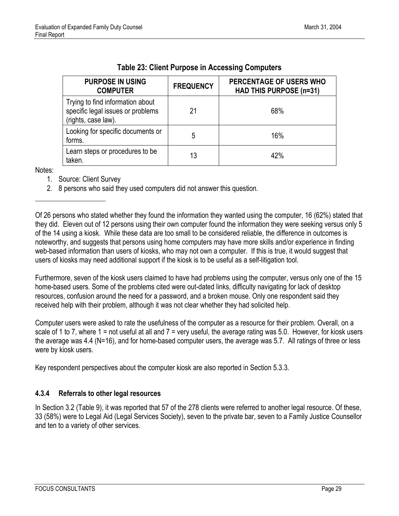<span id="page-36-1"></span>

| <b>PURPOSE IN USING</b><br><b>COMPUTER</b>                                                   | <b>FREQUENCY</b> | PERCENTAGE OF USERS WHO<br><b>HAD THIS PURPOSE (n=31)</b> |
|----------------------------------------------------------------------------------------------|------------------|-----------------------------------------------------------|
| Trying to find information about<br>specific legal issues or problems<br>(rights, case law). | 21               | 68%                                                       |
| Looking for specific documents or<br>forms.                                                  | 5                | 16%                                                       |
| Learn steps or procedures to be<br>taken.                                                    | 13               | 42%                                                       |

| Table 23: Client Purpose in Accessing Computers |  |  |  |
|-------------------------------------------------|--|--|--|
|-------------------------------------------------|--|--|--|

Notes:

l

- 1. Source: Client Survey
- 2. 8 persons who said they used computers did not answer this question.

<span id="page-36-0"></span>Furthermore, seven of the kiosk users claimed to have had problems using the computer, versus only one of the 15 home-based users. Some of the problems cited were out-dated links, difficulty navigating for lack of desktop resources, confusion around the need for a password, and a broken mouse. Only one respondent said they received help with their problem, although it was not clear whether they had solicited help.

Computer users were asked to rate the usefulness of the computer as a resource for their problem. Overall, on a scale of 1 to 7, where  $1 = not$  useful at all and  $7 =$  very useful, the average rating was 5.0. However, for kiosk users the average was 4.4 (N=16), and for home-based computer users, the average was 5.7. All ratings of three or less were by kiosk users.

Key respondent perspectives about the computer kiosk are also reported in Section 5.3.3.

#### **4.3.4 Referrals to other legal resources**

In Section 3.2 (Table 9), it was reported that 57 of the 278 clients were referred to another legal resource. Of these, 33 (58%) were to Legal Aid (Legal Services Society), seven to the private bar, seven to a Family Justice Counsellor and ten to a variety of other services.

Of 26 persons who stated whether they found the information they wanted using the computer, 16 (62%) stated that they did. Eleven out of 12 persons using their own computer found the information they were seeking versus only 5 of the 14 using a kiosk. While these data are too small to be considered reliable, the difference in outcomes is noteworthy, and suggests that persons using home computers may have more skills and/or experience in finding web-based information than users of kiosks, who may not own a computer. If this is true, it would suggest that users of kiosks may need additional support if the kiosk is to be useful as a self-litigation tool.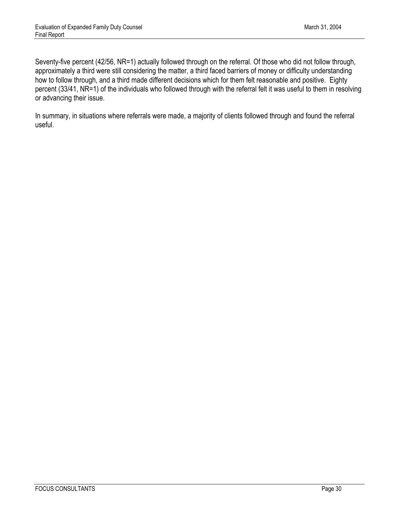Seventy-five percent (42/56, NR=1) actually followed through on the referral. Of those who did not follow through, approximately a third were still considering the matter, a third faced barriers of money or difficulty understanding how to follow through, and a third made different decisions which for them felt reasonable and positive. Eighty percent (33/41, NR=1) of the individuals who followed through with the referral felt it was useful to them in resolving or advancing their issue.

In summary, in situations where referrals were made, a majority of clients followed through and found the referral useful.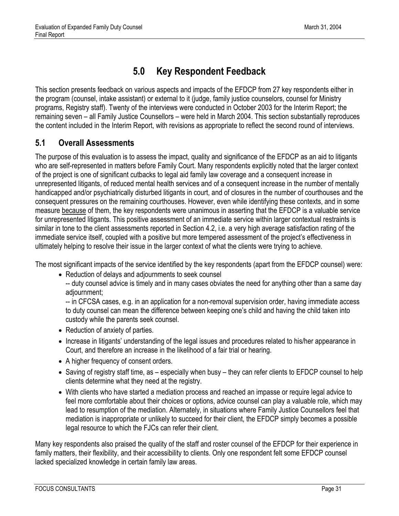### **5.0 Key Respondent Feedback**

<span id="page-38-0"></span>This section presents feedback on various aspects and impacts of the EFDCP from 27 key respondents either in the program (counsel, intake assistant) or external to it (judge, family justice counselors, counsel for Ministry programs, Registry staff). Twenty of the interviews were conducted in October 2003 for the Interim Report; the remaining seven – all Family Justice Counsellors – were held in March 2004. This section substantially reproduces the content included in the Interim Report, with revisions as appropriate to reflect the second round of interviews.

#### <span id="page-38-1"></span>**5.1 Overall Assessments**

The purpose of this evaluation is to assess the impact, quality and significance of the EFDCP as an aid to litigants who are self-represented in matters before Family Court. Many respondents explicitly noted that the larger context of the project is one of significant cutbacks to legal aid family law coverage and a consequent increase in unrepresented litigants, of reduced mental health services and of a consequent increase in the number of mentally handicapped and/or psychiatrically disturbed litigants in court, and of closures in the number of courthouses and the consequent pressures on the remaining courthouses. However, even while identifying these contexts, and in some measure because of them, the key respondents were unanimous in asserting that the EFDCP is a valuable service for unrepresented litigants. This positive assessment of an immediate service within larger contextual restraints is similar in tone to the client assessments reported in Section 4.2, i.e. a very high average satisfaction rating of the immediate service itself, coupled with a positive but more tempered assessment of the project's effectiveness in ultimately helping to resolve their issue in the larger context of what the clients were trying to achieve.

The most significant impacts of the service identified by the key respondents (apart from the EFDCP counsel) were:

• Reduction of delays and adjournments to seek counsel

-- duty counsel advice is timely and in many cases obviates the need for anything other than a same day adjournment;

-- in CFCSA cases, e.g. in an application for a non-removal supervision order, having immediate access to duty counsel can mean the difference between keeping one's child and having the child taken into custody while the parents seek counsel.

- Reduction of anxiety of parties.
- Increase in litigants' understanding of the legal issues and procedures related to his/her appearance in Court, and therefore an increase in the likelihood of a fair trial or hearing.
- A higher frequency of consent orders.
- Saving of registry staff time, as especially when busy they can refer clients to EFDCP counsel to help clients determine what they need at the registry.
- With clients who have started a mediation process and reached an impasse or require legal advice to feel more comfortable about their choices or options, advice counsel can play a valuable role, which may lead to resumption of the mediation. Alternately, in situations where Family Justice Counsellors feel that mediation is inappropriate or unlikely to succeed for their client, the EFDCP simply becomes a possible legal resource to which the FJCs can refer their client.

Many key respondents also praised the quality of the staff and roster counsel of the EFDCP for their experience in family matters, their flexibility, and their accessibility to clients. Only one respondent felt some EFDCP counsel lacked specialized knowledge in certain family law areas.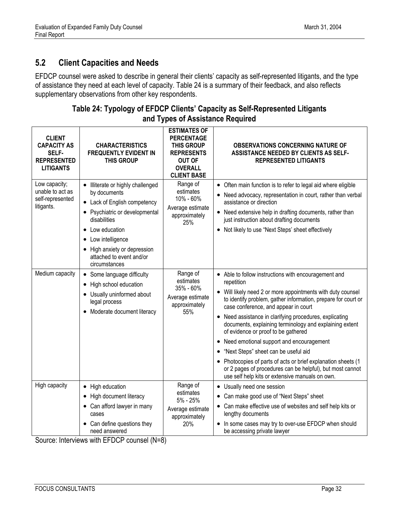#### <span id="page-39-1"></span><span id="page-39-0"></span>**5.2 Client Capacities and Needs**

EFDCP counsel were asked to describe in general their clients' capacity as self-represented litigants, and the type of assistance they need at each level of capacity. Table 24 is a summary of their feedback, and also reflects supplementary observations from other key respondents.

| <b>CLIENT</b><br><b>CAPACITY AS</b><br>SELF-<br><b>REPRESENTED</b><br><b>LITIGANTS</b> | <b>CHARACTERISTICS</b><br><b>FREQUENTLY EVIDENT IN</b><br><b>THIS GROUP</b>                                                                                                                                                                               | <b>ESTIMATES OF</b><br><b>PERCENTAGE</b><br>THIS GROUP<br><b>REPRESENTS</b><br><b>OUT OF</b><br><b>OVERALL</b><br><b>CLIENT BASE</b> | <b>OBSERVATIONS CONCERNING NATURE OF</b><br><b>ASSISTANCE NEEDED BY CLIENTS AS SELF-</b><br><b>REPRESENTED LITIGANTS</b>                                                                                                                                                                                                                                                                                                                                                                                                                                                                                                                                                                                      |
|----------------------------------------------------------------------------------------|-----------------------------------------------------------------------------------------------------------------------------------------------------------------------------------------------------------------------------------------------------------|--------------------------------------------------------------------------------------------------------------------------------------|---------------------------------------------------------------------------------------------------------------------------------------------------------------------------------------------------------------------------------------------------------------------------------------------------------------------------------------------------------------------------------------------------------------------------------------------------------------------------------------------------------------------------------------------------------------------------------------------------------------------------------------------------------------------------------------------------------------|
| Low capacity;<br>unable to act as<br>self-represented<br>litigants.                    | • Illiterate or highly challenged<br>by documents<br>• Lack of English competency<br>• Psychiatric or developmental<br>disabilities<br>• Low education<br>• Low intelligence<br>• High anxiety or depression<br>attached to event and/or<br>circumstances | Range of<br>estimates<br>10% - 60%<br>Average estimate<br>approximately<br>25%                                                       | • Often main function is to refer to legal aid where eligible<br>• Need advocacy, representation in court, rather than verbal<br>assistance or direction<br>• Need extensive help in drafting documents, rather than<br>just instruction about drafting documents<br>• Not likely to use "Next Steps' sheet effectively                                                                                                                                                                                                                                                                                                                                                                                       |
| Medium capacity                                                                        | • Some language difficulty<br>• High school education<br>• Usually uninformed about<br>legal process<br>• Moderate document literacy                                                                                                                      | Range of<br>estimates<br>35% - 60%<br>Average estimate<br>approximately<br>55%                                                       | • Able to follow instructions with encouragement and<br>repetition<br>Will likely need 2 or more appointments with duty counsel<br>to identify problem, gather information, prepare for court or<br>case conference, and appear in court<br>Need assistance in clarifying procedures, explicating<br>$\bullet$<br>documents, explaining terminology and explaining extent<br>of evidence or proof to be gathered<br>Need emotional support and encouragement<br>$\bullet$<br>"Next Steps" sheet can be useful aid<br>$\bullet$<br>Photocopies of parts of acts or brief explanation sheets (1<br>or 2 pages of procedures can be helpful), but most cannot<br>use self help kits or extensive manuals on own. |
| High capacity                                                                          | • High education<br>• High document literacy<br>• Can afford lawyer in many<br>cases<br>• Can define questions they<br>need answered                                                                                                                      | Range of<br>estimates<br>5% - 25%<br>Average estimate<br>approximately<br>20%                                                        | Usually need one session<br>$\bullet$<br>Can make good use of "Next Steps" sheet<br>Can make effective use of websites and self help kits or<br>lengthy documents<br>In some cases may try to over-use EFDCP when should<br>٠<br>be accessing private lawyer                                                                                                                                                                                                                                                                                                                                                                                                                                                  |

#### **Table 24: Typology of EFDCP Clients' Capacity as Self-Represented Litigants and Types of Assistance Required**

Source: Interviews with EFDCP counsel (N=8)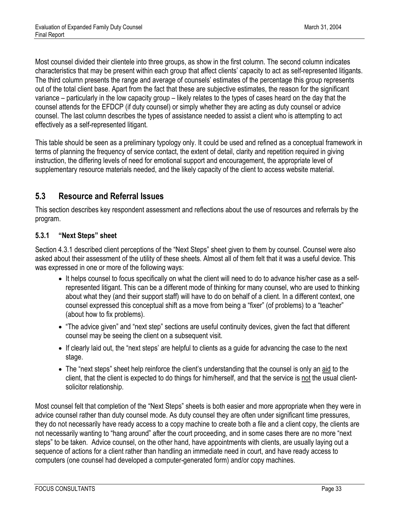Most counsel divided their clientele into three groups, as show in the first column. The second column indicates characteristics that may be present within each group that affect clients' capacity to act as self-represented litigants. The third column presents the range and average of counsels' estimates of the percentage this group represents out of the total client base. Apart from the fact that these are subjective estimates, the reason for the significant variance – particularly in the low capacity group – likely relates to the types of cases heard on the day that the counsel attends for the EFDCP (if duty counsel) or simply whether they are acting as duty counsel or advice counsel. The last column describes the types of assistance needed to assist a client who is attempting to act effectively as a self-represented litigant.

This table should be seen as a preliminary typology only. It could be used and refined as a conceptual framework in terms of planning the frequency of service contact, the extent of detail, clarity and repetition required in giving instruction, the differing levels of need for emotional support and encouragement, the appropriate level of supplementary resource materials needed, and the likely capacity of the client to access website material.

#### <span id="page-40-0"></span>**5.3 Resource and Referral Issues**

This section describes key respondent assessment and reflections about the use of resources and referrals by the program.

#### <span id="page-40-1"></span>**5.3.1 "Next Steps" sheet**

Section 4.3.1 described client perceptions of the "Next Steps" sheet given to them by counsel. Counsel were also asked about their assessment of the utility of these sheets. Almost all of them felt that it was a useful device. This was expressed in one or more of the following ways:

- It helps counsel to focus specifically on what the client will need to do to advance his/her case as a selfrepresented litigant. This can be a different mode of thinking for many counsel, who are used to thinking about what they (and their support staff) will have to do on behalf of a client. In a different context, one counsel expressed this conceptual shift as a move from being a "fixer" (of problems) to a "teacher" (about how to fix problems).
- "The advice given" and "next step" sections are useful continuity devices, given the fact that different counsel may be seeing the client on a subsequent visit.
- If clearly laid out, the "next steps' are helpful to clients as a guide for advancing the case to the next stage.
- The "next steps" sheet help reinforce the client's understanding that the counsel is only an aid to the client, that the client is expected to do things for him/herself, and that the service is not the usual clientsolicitor relationship.

Most counsel felt that completion of the "Next Steps" sheets is both easier and more appropriate when they were in advice counsel rather than duty counsel mode. As duty counsel they are often under significant time pressures, they do not necessarily have ready access to a copy machine to create both a file and a client copy, the clients are not necessarily wanting to "hang around" after the court proceeding, and in some cases there are no more "next steps" to be taken. Advice counsel, on the other hand, have appointments with clients, are usually laying out a sequence of actions for a client rather than handling an immediate need in court, and have ready access to computers (one counsel had developed a computer-generated form) and/or copy machines.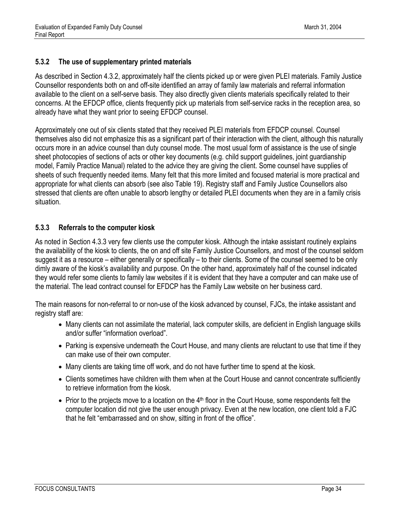#### <span id="page-41-0"></span>**5.3.2 The use of supplementary printed materials**

As described in Section 4.3.2, approximately half the clients picked up or were given PLEI materials. Family Justice Counsellor respondents both on and off-site identified an array of family law materials and referral information available to the client on a self-serve basis. They also directly given clients materials specifically related to their concerns. At the EFDCP office, clients frequently pick up materials from self-service racks in the reception area, so already have what they want prior to seeing EFDCP counsel.

Approximately one out of six clients stated that they received PLEI materials from EFDCP counsel. Counsel themselves also did not emphasize this as a significant part of their interaction with the client, although this naturally occurs more in an advice counsel than duty counsel mode. The most usual form of assistance is the use of single sheet photocopies of sections of acts or other key documents (e.g. child support guidelines, joint guardianship model, Family Practice Manual) related to the advice they are giving the client. Some counsel have supplies of sheets of such frequently needed items. Many felt that this more limited and focused material is more practical and appropriate for what clients can absorb (see also Table 19). Registry staff and Family Justice Counsellors also stressed that clients are often unable to absorb lengthy or detailed PLEI documents when they are in a family crisis situation.

#### <span id="page-41-1"></span>**5.3.3 Referrals to the computer kiosk**

As noted in Section 4.3.3 very few clients use the computer kiosk. Although the intake assistant routinely explains the availability of the kiosk to clients, the on and off site Family Justice Counsellors, and most of the counsel seldom suggest it as a resource – either generally or specifically – to their clients. Some of the counsel seemed to be only dimly aware of the kiosk's availability and purpose. On the other hand, approximately half of the counsel indicated they would refer some clients to family law websites if it is evident that they have a computer and can make use of the material. The lead contract counsel for EFDCP has the Family Law website on her business card.

The main reasons for non-referral to or non-use of the kiosk advanced by counsel, FJCs, the intake assistant and registry staff are:

- Many clients can not assimilate the material, lack computer skills, are deficient in English language skills and/or suffer "information overload".
- Parking is expensive underneath the Court House, and many clients are reluctant to use that time if they can make use of their own computer.
- Many clients are taking time off work, and do not have further time to spend at the kiosk.
- Clients sometimes have children with them when at the Court House and cannot concentrate sufficiently to retrieve information from the kiosk.
- Prior to the projects move to a location on the  $4<sup>th</sup>$  floor in the Court House, some respondents felt the computer location did not give the user enough privacy. Even at the new location, one client told a FJC that he felt "embarrassed and on show, sitting in front of the office".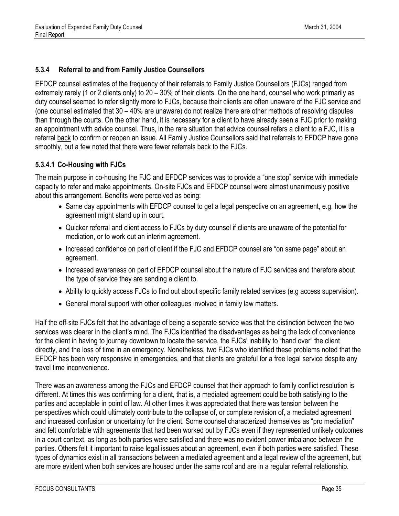#### <span id="page-42-0"></span>**5.3.4 Referral to and from Family Justice Counsellors**

EFDCP counsel estimates of the frequency of their referrals to Family Justice Counsellors (FJCs) ranged from extremely rarely (1 or 2 clients only) to 20 – 30% of their clients. On the one hand, counsel who work primarily as duty counsel seemed to refer slightly more to FJCs, because their clients are often unaware of the FJC service and (one counsel estimated that 30 – 40% are unaware) do not realize there are other methods of resolving disputes than through the courts. On the other hand, it is necessary for a client to have already seen a FJC prior to making an appointment with advice counsel. Thus, in the rare situation that advice counsel refers a client to a FJC, it is a referral back to confirm or reopen an issue. All Family Justice Counsellors said that referrals to EFDCP have gone smoothly, but a few noted that there were fewer referrals back to the FJCs.

#### **5.3.4.1 Co-Housing with FJCs**

The main purpose in co-housing the FJC and EFDCP services was to provide a "one stop" service with immediate capacity to refer and make appointments. On-site FJCs and EFDCP counsel were almost unanimously positive about this arrangement. Benefits were perceived as being:

- Same day appointments with EFDCP counsel to get a legal perspective on an agreement, e.g. how the agreement might stand up in court.
- Quicker referral and client access to FJCs by duty counsel if clients are unaware of the potential for mediation, or to work out an interim agreement.
- Increased confidence on part of client if the FJC and EFDCP counsel are "on same page" about an agreement.
- Increased awareness on part of EFDCP counsel about the nature of FJC services and therefore about the type of service they are sending a client to.
- Ability to quickly access FJCs to find out about specific family related services (e.g access supervision).
- General moral support with other colleagues involved in family law matters.

Half the off-site FJCs felt that the advantage of being a separate service was that the distinction between the two services was clearer in the client's mind. The FJCs identified the disadvantages as being the lack of convenience for the client in having to journey downtown to locate the service, the FJCs' inability to "hand over" the client directly, and the loss of time in an emergency. Nonetheless, two FJCs who identified these problems noted that the EFDCP has been very responsive in emergencies, and that clients are grateful for a free legal service despite any travel time inconvenience.

There was an awareness among the FJCs and EFDCP counsel that their approach to family conflict resolution is different. At times this was confirming for a client, that is, a mediated agreement could be both satisfying to the parties and acceptable in point of law. At other times it was appreciated that there was tension between the perspectives which could ultimately contribute to the collapse of, or complete revision of, a mediated agreement and increased confusion or uncertainty for the client. Some counsel characterized themselves as "pro mediation" and felt comfortable with agreements that had been worked out by FJCs even if they represented unlikely outcomes in a court context, as long as both parties were satisfied and there was no evident power imbalance between the parties. Others felt it important to raise legal issues about an agreement, even if both parties were satisfied. These types of dynamics exist in all transactions between a mediated agreement and a legal review of the agreement, but are more evident when both services are housed under the same roof and are in a regular referral relationship.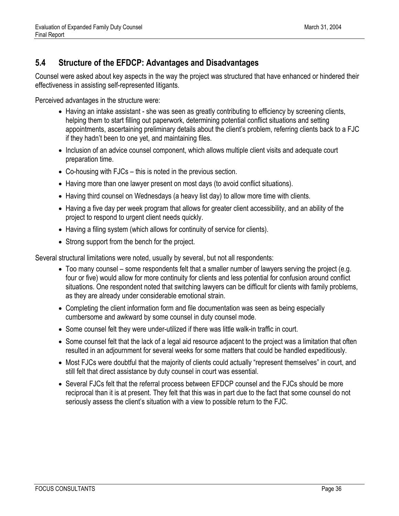#### <span id="page-43-0"></span>**5.4 Structure of the EFDCP: Advantages and Disadvantages**

Counsel were asked about key aspects in the way the project was structured that have enhanced or hindered their effectiveness in assisting self-represented litigants.

Perceived advantages in the structure were:

- Having an intake assistant she was seen as greatly contributing to efficiency by screening clients, helping them to start filling out paperwork, determining potential conflict situations and setting appointments, ascertaining preliminary details about the client's problem, referring clients back to a FJC if they hadn't been to one yet, and maintaining files.
- Inclusion of an advice counsel component, which allows multiple client visits and adequate court preparation time.
- Co-housing with FJCs this is noted in the previous section.
- Having more than one lawyer present on most days (to avoid conflict situations).
- Having third counsel on Wednesdays (a heavy list day) to allow more time with clients.
- Having a five day per week program that allows for greater client accessibility, and an ability of the project to respond to urgent client needs quickly.
- Having a filing system (which allows for continuity of service for clients).
- Strong support from the bench for the project.

Several structural limitations were noted, usually by several, but not all respondents:

- Too many counsel some respondents felt that a smaller number of lawyers serving the project (e.g. four or five) would allow for more continuity for clients and less potential for confusion around conflict situations. One respondent noted that switching lawyers can be difficult for clients with family problems, as they are already under considerable emotional strain.
- Completing the client information form and file documentation was seen as being especially cumbersome and awkward by some counsel in duty counsel mode.
- Some counsel felt they were under-utilized if there was little walk-in traffic in court.
- Some counsel felt that the lack of a legal aid resource adjacent to the project was a limitation that often resulted in an adjournment for several weeks for some matters that could be handled expeditiously.
- Most FJCs were doubtful that the majority of clients could actually "represent themselves" in court, and still felt that direct assistance by duty counsel in court was essential.
- Several FJCs felt that the referral process between EFDCP counsel and the FJCs should be more reciprocal than it is at present. They felt that this was in part due to the fact that some counsel do not seriously assess the client's situation with a view to possible return to the FJC.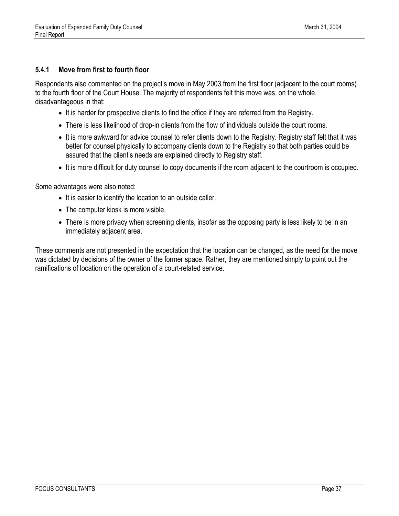#### <span id="page-44-0"></span>**5.4.1 Move from first to fourth floor**

Respondents also commented on the project's move in May 2003 from the first floor (adjacent to the court rooms) to the fourth floor of the Court House. The majority of respondents felt this move was, on the whole, disadvantageous in that:

- It is harder for prospective clients to find the office if they are referred from the Registry.
- There is less likelihood of drop-in clients from the flow of individuals outside the court rooms.
- It is more awkward for advice counsel to refer clients down to the Registry. Registry staff felt that it was better for counsel physically to accompany clients down to the Registry so that both parties could be assured that the client's needs are explained directly to Registry staff.
- It is more difficult for duty counsel to copy documents if the room adjacent to the courtroom is occupied.

Some advantages were also noted:

- It is easier to identify the location to an outside caller.
- The computer kiosk is more visible.
- There is more privacy when screening clients, insofar as the opposing party is less likely to be in an immediately adjacent area.

These comments are not presented in the expectation that the location can be changed, as the need for the move was dictated by decisions of the owner of the former space. Rather, they are mentioned simply to point out the ramifications of location on the operation of a court-related service.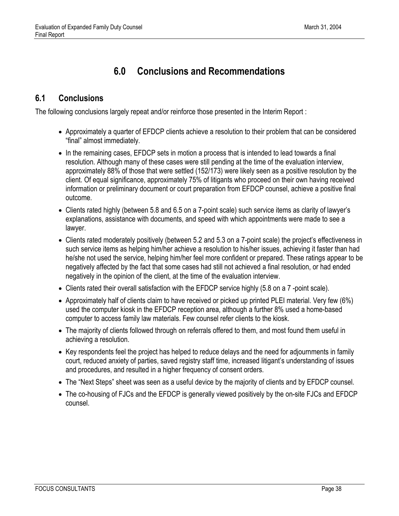## **6.0 Conclusions and Recommendations**

### <span id="page-45-1"></span><span id="page-45-0"></span>**6.1 Conclusions**

The following conclusions largely repeat and/or reinforce those presented in the Interim Report :

- Approximately a quarter of EFDCP clients achieve a resolution to their problem that can be considered "final" almost immediately.
- In the remaining cases, EFDCP sets in motion a process that is intended to lead towards a final resolution. Although many of these cases were still pending at the time of the evaluation interview, approximately 88% of those that were settled (152/173) were likely seen as a positive resolution by the client. Of equal significance, approximately 75% of litigants who proceed on their own having received information or preliminary document or court preparation from EFDCP counsel, achieve a positive final outcome.
- Clients rated highly (between 5.8 and 6.5 on a 7-point scale) such service items as clarity of lawyer's explanations, assistance with documents, and speed with which appointments were made to see a lawyer.
- Clients rated moderately positively (between 5.2 and 5.3 on a 7-point scale) the project's effectiveness in such service items as helping him/her achieve a resolution to his/her issues, achieving it faster than had he/she not used the service, helping him/her feel more confident or prepared. These ratings appear to be negatively affected by the fact that some cases had still not achieved a final resolution, or had ended negatively in the opinion of the client, at the time of the evaluation interview.
- Clients rated their overall satisfaction with the EFDCP service highly (5.8 on a 7-point scale).
- Approximately half of clients claim to have received or picked up printed PLEI material. Very few (6%) used the computer kiosk in the EFDCP reception area, although a further 8% used a home-based computer to access family law materials. Few counsel refer clients to the kiosk.
- The majority of clients followed through on referrals offered to them, and most found them useful in achieving a resolution.
- Key respondents feel the project has helped to reduce delays and the need for adjournments in family court, reduced anxiety of parties, saved registry staff time, increased litigant's understanding of issues and procedures, and resulted in a higher frequency of consent orders.
- The "Next Steps" sheet was seen as a useful device by the majority of clients and by EFDCP counsel.
- The co-housing of FJCs and the EFDCP is generally viewed positively by the on-site FJCs and EFDCP counsel.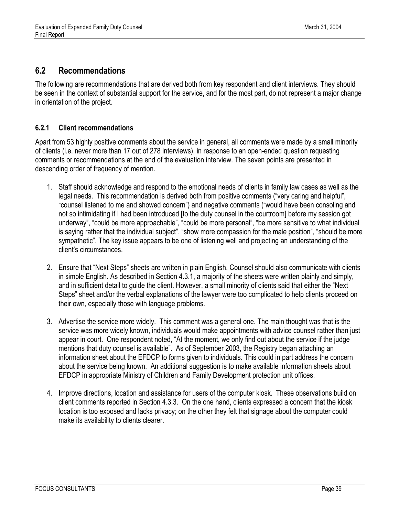#### <span id="page-46-0"></span>**6.2 Recommendations**

The following are recommendations that are derived both from key respondent and client interviews. They should be seen in the context of substantial support for the service, and for the most part, do not represent a major change in orientation of the project.

#### <span id="page-46-1"></span>**6.2.1 Client recommendations**

Apart from 53 highly positive comments about the service in general, all comments were made by a small minority of clients (i.e. never more than 17 out of 278 interviews), in response to an open-ended question requesting comments or recommendations at the end of the evaluation interview. The seven points are presented in descending order of frequency of mention.

- 1. Staff should acknowledge and respond to the emotional needs of clients in family law cases as well as the legal needs. This recommendation is derived both from positive comments ("very caring and helpful", "counsel listened to me and showed concern") and negative comments ("would have been consoling and not so intimidating if I had been introduced [to the duty counsel in the courtroom] before my session got underway", "could be more approachable", "could be more personal", "be more sensitive to what individual is saying rather that the individual subject", "show more compassion for the male position", "should be more sympathetic". The key issue appears to be one of listening well and projecting an understanding of the client's circumstances.
- 2. Ensure that "Next Steps" sheets are written in plain English. Counsel should also communicate with clients in simple English. As described in Section 4.3.1, a majority of the sheets were written plainly and simply, and in sufficient detail to guide the client. However, a small minority of clients said that either the "Next Steps" sheet and/or the verbal explanations of the lawyer were too complicated to help clients proceed on their own, especially those with language problems.
- 3. Advertise the service more widely. This comment was a general one. The main thought was that is the service was more widely known, individuals would make appointments with advice counsel rather than just appear in court. One respondent noted, "At the moment, we only find out about the service if the judge mentions that duty counsel is available". As of September 2003, the Registry began attaching an information sheet about the EFDCP to forms given to individuals. This could in part address the concern about the service being known. An additional suggestion is to make available information sheets about EFDCP in appropriate Ministry of Children and Family Development protection unit offices.
- 4. Improve directions, location and assistance for users of the computer kiosk. These observations build on client comments reported in Section 4.3.3. On the one hand, clients expressed a concern that the kiosk location is too exposed and lacks privacy; on the other they felt that signage about the computer could make its availability to clients clearer.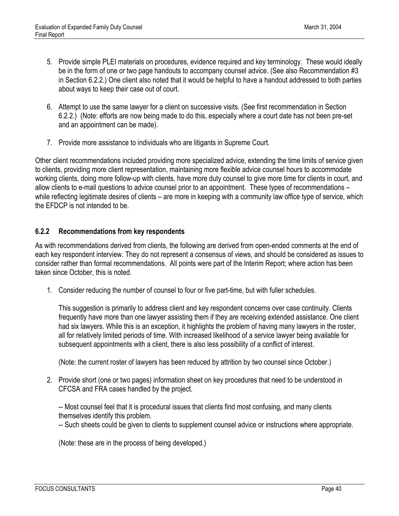- 5. Provide simple PLEI materials on procedures, evidence required and key terminology. These would ideally be in the form of one or two page handouts to accompany counsel advice. (See also Recommendation #3 in Section 6.2.2.) One client also noted that it would be helpful to have a handout addressed to both parties about ways to keep their case out of court.
- 6. Attempt to use the same lawyer for a client on successive visits. (See first recommendation in Section 6.2.2.) (Note: efforts are now being made to do this, especially where a court date has not been pre-set and an appointment can be made).
- 7. Provide more assistance to individuals who are litigants in Supreme Court.

Other client recommendations included providing more specialized advice, extending the time limits of service given to clients, providing more client representation, maintaining more flexible advice counsel hours to accommodate working clients, doing more follow-up with clients, have more duty counsel to give more time for clients in court, and allow clients to e-mail questions to advice counsel prior to an appointment. These types of recommendations – while reflecting legitimate desires of clients – are more in keeping with a community law office type of service, which the EFDCP is not intended to be.

#### <span id="page-47-0"></span>**6.2.2 Recommendations from key respondents**

As with recommendations derived from clients, the following are derived from open-ended comments at the end of each key respondent interview. They do not represent a consensus of views, and should be considered as issues to consider rather than formal recommendations. All points were part of the Interim Report; where action has been taken since October, this is noted.

1. Consider reducing the number of counsel to four or five part-time, but with fuller schedules.

This suggestion is primarily to address client and key respondent concerns over case continuity. Clients frequently have more than one lawyer assisting them if they are receiving extended assistance. One client had six lawyers. While this is an exception, it highlights the problem of having many lawyers in the roster, all for relatively limited periods of time. With increased likelihood of a service lawyer being available for subsequent appointments with a client, there is also less possibility of a conflict of interest.

(Note: the current roster of lawyers has been reduced by attrition by two counsel since October.)

2. Provide short (one or two pages) information sheet on key procedures that need to be understood in CFCSA and FRA cases handled by the project.

-- Most counsel feel that it is procedural issues that clients find most confusing, and many clients themselves identify this problem.

-- Such sheets could be given to clients to supplement counsel advice or instructions where appropriate.

(Note: these are in the process of being developed.)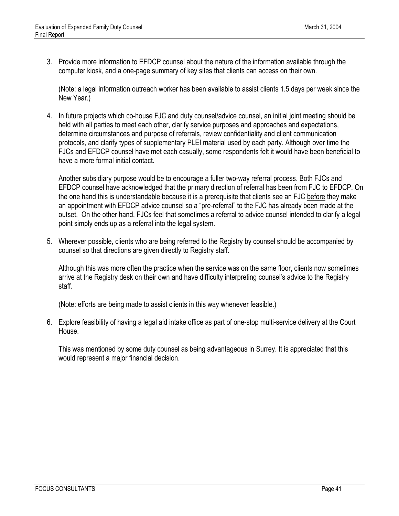3. Provide more information to EFDCP counsel about the nature of the information available through the computer kiosk, and a one-page summary of key sites that clients can access on their own.

(Note: a legal information outreach worker has been available to assist clients 1.5 days per week since the New Year.)

4. In future projects which co-house FJC and duty counsel/advice counsel, an initial joint meeting should be held with all parties to meet each other, clarify service purposes and approaches and expectations, determine circumstances and purpose of referrals, review confidentiality and client communication protocols, and clarify types of supplementary PLEI material used by each party. Although over time the FJCs and EFDCP counsel have met each casually, some respondents felt it would have been beneficial to have a more formal initial contact.

Another subsidiary purpose would be to encourage a fuller two-way referral process. Both FJCs and EFDCP counsel have acknowledged that the primary direction of referral has been from FJC to EFDCP. On the one hand this is understandable because it is a prerequisite that clients see an FJC before they make an appointment with EFDCP advice counsel so a "pre-referral" to the FJC has already been made at the outset. On the other hand, FJCs feel that sometimes a referral to advice counsel intended to clarify a legal point simply ends up as a referral into the legal system.

5. Wherever possible, clients who are being referred to the Registry by counsel should be accompanied by counsel so that directions are given directly to Registry staff.

Although this was more often the practice when the service was on the same floor, clients now sometimes arrive at the Registry desk on their own and have difficulty interpreting counsel's advice to the Registry staff.

(Note: efforts are being made to assist clients in this way whenever feasible.)

6. Explore feasibility of having a legal aid intake office as part of one-stop multi-service delivery at the Court House.

This was mentioned by some duty counsel as being advantageous in Surrey. It is appreciated that this would represent a major financial decision.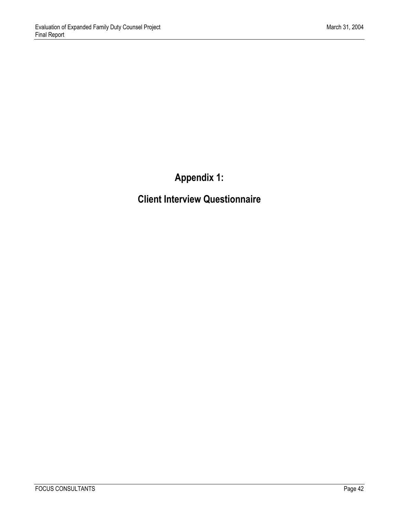**Appendix 1:** 

<span id="page-49-0"></span>**Client Interview Questionnaire**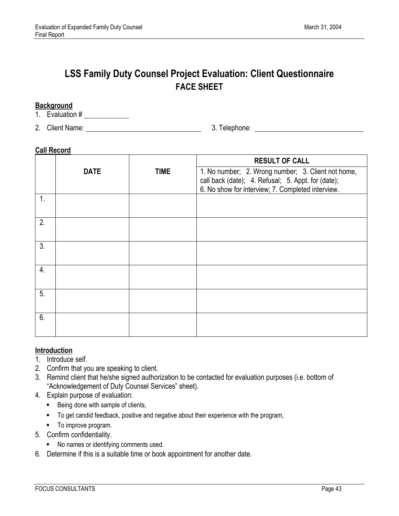### **LSS Family Duty Counsel Project Evaluation: Client Questionnaire FACE SHEET**

#### **Background**

- 1. Evaluation #
- 2. Client Name: 3. Telephone:

#### **Call Record**

|                  |             |             | <b>RESULT OF CALL</b>                                                                                                                                         |
|------------------|-------------|-------------|---------------------------------------------------------------------------------------------------------------------------------------------------------------|
|                  | <b>DATE</b> | <b>TIME</b> | 1. No number; 2. Wrong number; 3. Client not home,<br>call back (date); 4. Refusal; 5. Appt. for (date);<br>6. No show for interview; 7. Completed interview. |
| 1.               |             |             |                                                                                                                                                               |
| 2.               |             |             |                                                                                                                                                               |
| 3.               |             |             |                                                                                                                                                               |
| $\overline{4}$ . |             |             |                                                                                                                                                               |
| 5.               |             |             |                                                                                                                                                               |
| 6.               |             |             |                                                                                                                                                               |

#### **Introduction**

- 1. Introduce self.
- 2. Confirm that you are speaking to client.
- 3. Remind client that he/she signed authorization to be contacted for evaluation purposes (i.e. bottom of "Acknowledgement of Duty Counsel Services" sheet).
- 4. Explain purpose of evaluation:
	- Being done with sample of clients,
	- To get candid feedback, positive and negative about their experience with the program,
	- $\blacksquare$  To improve program.
- 5. Confirm confidentiality.
	- No names or identifying comments used.
- 6. Determine if this is a suitable time or book appointment for another date.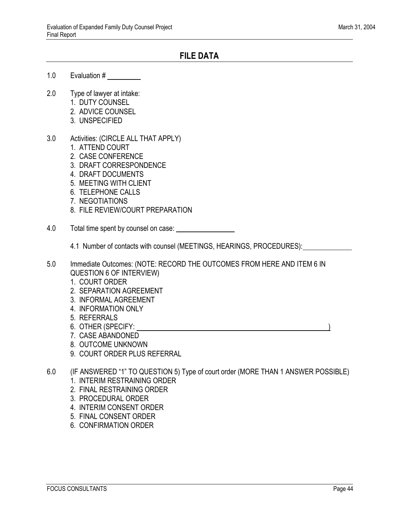#### **FILE DATA**

- 1.0 Evaluation #
- 2.0 Type of lawyer at intake:
	- 1. DUTY COUNSEL
	- 2. ADVICE COUNSEL
	- 3. UNSPECIFIED
- 3.0 Activities: (CIRCLE ALL THAT APPLY)
	- 1. ATTEND COURT
	- 2. CASE CONFERENCE
	- 3. DRAFT CORRESPONDENCE
	- 4. DRAFT DOCUMENTS
	- 5. MEETING WITH CLIENT
	- 6. TELEPHONE CALLS
	- 7. NEGOTIATIONS
	- 8. FILE REVIEW/COURT PREPARATION
- 4.0 Total time spent by counsel on case:

4.1 Number of contacts with counsel (MEETINGS, HEARINGS, PROCEDURES):

- 5.0 Immediate Outcomes: (NOTE: RECORD THE OUTCOMES FROM HERE AND ITEM 6 IN QUESTION 6 OF INTERVIEW)
	- 1. COURT ORDER
	- 2. SEPARATION AGREEMENT
	- 3. INFORMAL AGREEMENT
	- 4. INFORMATION ONLY
	- 5. REFERRALS
	- 6. OTHER (SPECIFY:
	- 7. CASE ABANDONED
	- 8. OUTCOME UNKNOWN
	- 9. COURT ORDER PLUS REFERRAL
- 6.0 (IF ANSWERED "1" TO QUESTION 5) Type of court order (MORE THAN 1 ANSWER POSSIBLE)
	- 1. INTERIM RESTRAINING ORDER
	- 2. FINAL RESTRAINING ORDER
	- 3. PROCEDURAL ORDER
	- 4. INTERIM CONSENT ORDER
	- 5. FINAL CONSENT ORDER
	- 6. CONFIRMATION ORDER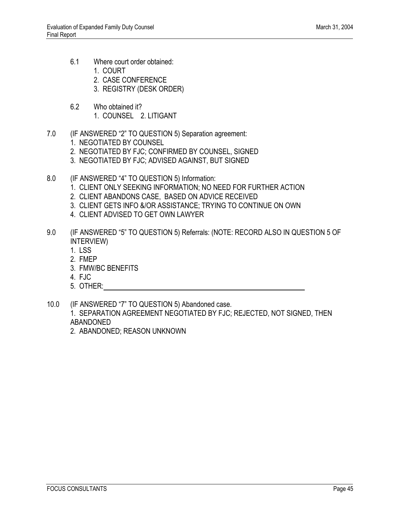- 6.1 Where court order obtained:
	- 1. COURT
	- 2. CASE CONFERENCE
	- 3. REGISTRY (DESK ORDER)
- 6.2 Who obtained it? 1. COUNSEL 2. LITIGANT
- 7.0 (IF ANSWERED "2" TO QUESTION 5) Separation agreement:
	- 1. NEGOTIATED BY COUNSEL
	- 2. NEGOTIATED BY FJC; CONFIRMED BY COUNSEL, SIGNED
	- 3. NEGOTIATED BY FJC; ADVISED AGAINST, BUT SIGNED
- 8.0 (IF ANSWERED "4" TO QUESTION 5) Information:
	- 1. CLIENT ONLY SEEKING INFORMATION; NO NEED FOR FURTHER ACTION
	- 2. CLIENT ABANDONS CASE, BASED ON ADVICE RECEIVED
	- 3. CLIENT GETS INFO &/OR ASSISTANCE; TRYING TO CONTINUE ON OWN
	- 4. CLIENT ADVISED TO GET OWN LAWYER
- 9.0 (IF ANSWERED "5" TO QUESTION 5) Referrals: (NOTE: RECORD ALSO IN QUESTION 5 OF INTERVIEW)
	- 1. LSS
	- 2. FMEP
	- 3. FMW/BC BENEFITS
	- 4. FJC
	- 5. OTHER:
- 10.0 (IF ANSWERED "7" TO QUESTION 5) Abandoned case.
	- 1. SEPARATION AGREEMENT NEGOTIATED BY FJC; REJECTED, NOT SIGNED, THEN ABANDONED
	- 2. ABANDONED; REASON UNKNOWN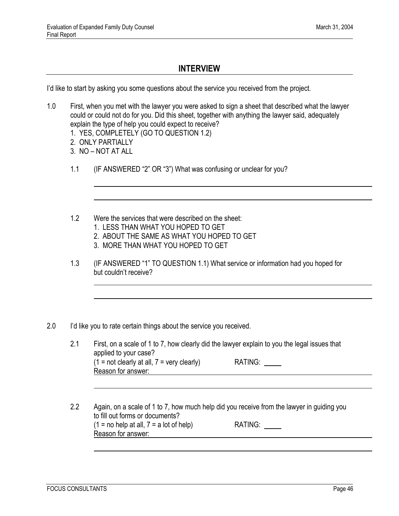#### **INTERVIEW**

I'd like to start by asking you some questions about the service you received from the project.

- 1.0 First, when you met with the lawyer you were asked to sign a sheet that described what the lawyer could or could not do for you. Did this sheet, together with anything the lawyer said, adequately explain the type of help you could expect to receive?
	- 1. YES, COMPLETELY (GO TO QUESTION 1.2)
	- 2. ONLY PARTIALLY
	- 3. NO NOT AT ALL
	- 1.1 (IF ANSWERED "2" OR "3") What was confusing or unclear for you?
	- 1.2 Were the services that were described on the sheet:
		- 1. LESS THAN WHAT YOU HOPED TO GET
		- 2. ABOUT THE SAME AS WHAT YOU HOPED TO GET
		- 3. MORE THAN WHAT YOU HOPED TO GET
	- 1.3 (IF ANSWERED "1" TO QUESTION 1.1) What service or information had you hoped for but couldn't receive?
- 2.0 I'd like you to rate certain things about the service you received.
	- 2.1 First, on a scale of 1 to 7, how clearly did the lawyer explain to you the legal issues that applied to your case?  $(1 = not clearly at all, 7 = very clearly)$  RATING: Reason for answer:<br>
	Example 2014
	- 2.2 Again, on a scale of 1 to 7, how much help did you receive from the lawyer in guiding you to fill out forms or documents?  $(1 = no help at all, 7 = a lot of help)$  RATING:  $\qquad \qquad$ Reason for answer: <u>\_\_\_\_\_\_\_\_\_\_</u>\_\_\_\_\_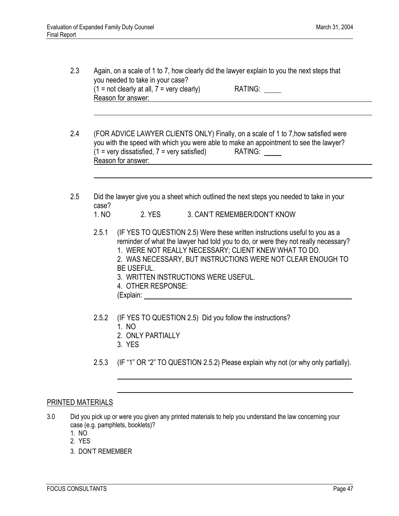- 2.3 Again, on a scale of 1 to 7, how clearly did the lawyer explain to you the next steps that you needed to take in your case?  $(1 = not clearly at all, 7 = very clearly)$  RATING: Reason for answer:
- 2.4 (FOR ADVICE LAWYER CLIENTS ONLY) Finally, on a scale of 1 to 7,how satisfied were you with the speed with which you were able to make an appointment to see the lawyer?  $(1 = \text{very dissatisfied}, 7 = \text{very satisfied})$  RATING: Reason for answer:
- 2.5 Did the lawyer give you a sheet which outlined the next steps you needed to take in your case?
	- 1. NO 2. YES 3. CAN'T REMEMBER/DON'T KNOW
	- 2.5.1 (IF YES TO QUESTION 2.5) Were these written instructions useful to you as a reminder of what the lawyer had told you to do, or were they not really necessary?
		- 1. WERE NOT REALLY NECESSARY; CLIENT KNEW WHAT TO DO.
		- 2. WAS NECESSARY, BUT INSTRUCTIONS WERE NOT CLEAR ENOUGH TO BE USEFUL.
		- 3. WRITTEN INSTRUCTIONS WERE USEFUL.
		- 4. OTHER RESPONSE:
		- (Explain:
	- 2.5.2 (IF YES TO QUESTION 2.5) Did you follow the instructions?
		- 1. NO
		- 2. ONLY PARTIALLY
		- 3. YES

l,

2.5.3 (IF "1" OR "2" TO QUESTION 2.5.2) Please explain why not (or why only partially).

#### PRINTED MATERIALS

- 3.0 Did you pick up or were you given any printed materials to help you understand the law concerning your case (e.g. pamphlets, booklets)?
	- 1. NO
	- 2. YES
	- 3. DON'T REMEMBER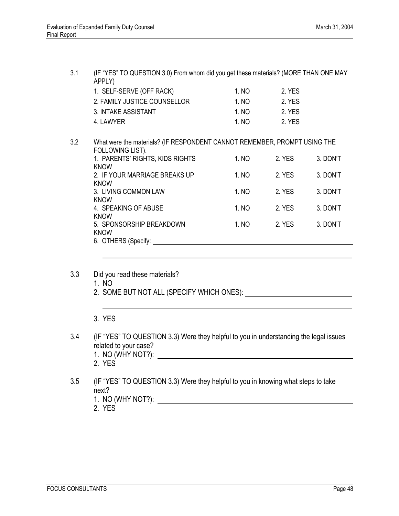3.1 (IF "YES" TO QUESTION 3.0) From whom did you get these materials? (MORE THAN ONE MAY APPLY) 1. SELF-SERVE (OFF RACK) 1. NO 2. YES 2. FAMILY JUSTICE COUNSELLOR 1. NO 2. YES 3. INTAKE ASSISTANT 1. NO 2. YES 4. LAWYER 1. NO 2. YES 3.2 What were the materials? (IF RESPONDENT CANNOT REMEMBER, PROMPT USING THE FOLLOWING LIST). 1. PARENTS' RIGHTS, KIDS RIGHTS 1. NO 2. YES 3. DON'T KNOW 2. IF YOUR MARRIAGE BREAKS UP 1. NO 2. YES 3. DON'T KNOW 3. LIVING COMMON LAW 1. NO 2. YES 3. DON'T KNOW 4. SPEAKING OF ABUSE 1. NO 2. YES 3. DON'T KNOW 5. SPONSORSHIP BREAKDOWN 1. NO 2. YES 3. DON'T KNOW 6. OTHERS (Specify: l 3.3 Did you read these materials? 1. NO 2. SOME BUT NOT ALL (SPECIFY WHICH ONES): l, 3. YES 3.4 (IF "YES" TO QUESTION 3.3) Were they helpful to you in understanding the legal issues related to your case? 1. NO (WHY NOT?): 2. YES 3.5 (IF "YES" TO QUESTION 3.3) Were they helpful to you in knowing what steps to take

next?

- 1. NO (WHY NOT?):
- 2. YES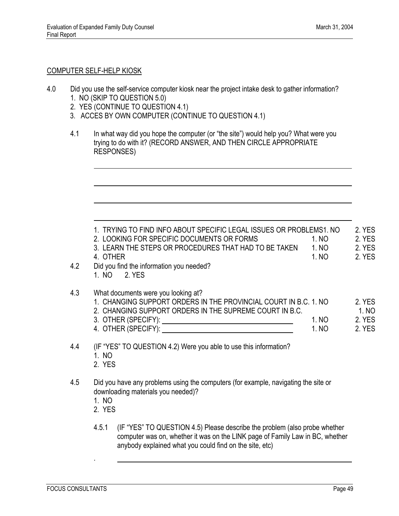#### COMPUTER SELF-HELP KIOSK

 $\overline{a}$ 

 $\overline{a}$ 

- 4.0 Did you use the self-service computer kiosk near the project intake desk to gather information? 1. NO (SKIP TO QUESTION 5.0)
	- 2. YES (CONTINUE TO QUESTION 4.1)
	- 3. ACCES BY OWN COMPUTER (CONTINUE TO QUESTION 4.1)
	- 4.1 In what way did you hope the computer (or "the site") would help you? What were you trying to do with it? (RECORD ANSWER, AND THEN CIRCLE APPROPRIATE RESPONSES)

| 1. TRYING TO FIND INFO ABOUT SPECIFIC LEGAL ISSUES OR PROBLEMS1. NO<br>2. LOOKING FOR SPECIFIC DOCUMENTS OR FORMS<br>3. LEARN THE STEPS OR PROCEDURES THAT HAD TO BE TAKEN<br>4. OTHER<br>Did you find the information you needed?<br>1. NO 2. YES | 1. NO<br>1. NO<br>1. NO | 2. YES<br>2. YES<br>2. YES<br>2. YES |
|----------------------------------------------------------------------------------------------------------------------------------------------------------------------------------------------------------------------------------------------------|-------------------------|--------------------------------------|
| What documents were you looking at?<br>1. CHANGING SUPPORT ORDERS IN THE PROVINCIAL COURT IN B.C. 1. NO<br>2. CHANGING SUPPORT ORDERS IN THE SUPREME COURT IN B.C.                                                                                 | 1. NO<br>1. NO          | 2. YES<br>1. NO<br>2. YES<br>2. YES  |
| (IF "YES" TO QUESTION 4.2) Were you able to use this information?<br>1. NO<br>2. YES                                                                                                                                                               |                         |                                      |
| Did you have any problems using the computers (for example, navigating the site or<br>downloading materials you needed)?<br>1. NO<br>2. YES                                                                                                        |                         |                                      |
| $I = I$ (IF (A/FA)) TA ALIFATIALLE NOTED FOR THE HELP FOR THE HELP III                                                                                                                                                                             |                         |                                      |

4.5.1 (IF "YES" TO QUESTION 4.5) Please describe the problem (also probe whether computer was on, whether it was on the LINK page of Family Law in BC, whether anybody explained what you could find on the site, etc)

.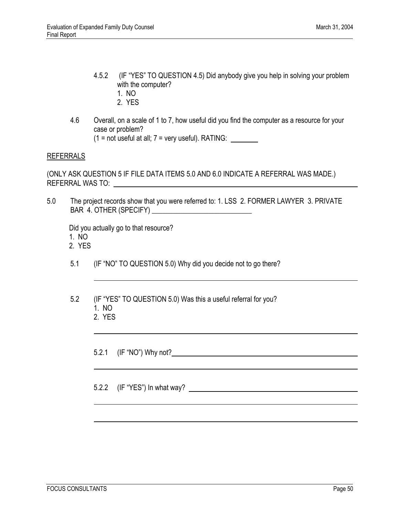- 4.5.2 (IF "YES" TO QUESTION 4.5) Did anybody give you help in solving your problem with the computer?
	- 1. NO
	- 2. YES
- 4.6 Overall, on a scale of 1 to 7, how useful did you find the computer as a resource for your case or problem?  $(1 = not useful at all; 7 = very useful). RATING:$

#### REFERRALS

(ONLY ASK QUESTION 5 IF FILE DATA ITEMS 5.0 AND 6.0 INDICATE A REFERRAL WAS MADE.) REFERRAL WAS TO:

5.0 The project records show that you were referred to: 1. LSS 2. FORMER LAWYER 3. PRIVATE BAR 4. OTHER (SPECIFY) \_\_\_\_\_\_\_\_\_\_\_\_\_\_\_\_\_\_\_\_\_\_\_\_\_\_\_\_

Did you actually go to that resource?

- 1. NO
- 2. YES
- 5.1 (IF "NO" TO QUESTION 5.0) Why did you decide not to go there?
- 5.2 (IF "YES" TO QUESTION 5.0) Was this a useful referral for you? 1. NO
	- 2. YES

5.2.1 (IF "NO") Why not?

5.2.2 (IF "YES") In what way?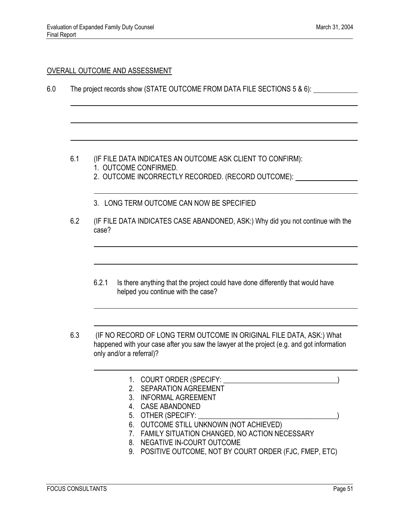#### OVERALL OUTCOME AND ASSESSMENT

6.0 The project records show (STATE OUTCOME FROM DATA FILE SECTIONS 5 & 6):

- 6.1 (IF FILE DATA INDICATES AN OUTCOME ASK CLIENT TO CONFIRM): 1. OUTCOME CONFIRMED.
	- 2. OUTCOME INCORRECTLY RECORDED. (RECORD OUTCOME):
	- 3. LONG TERM OUTCOME CAN NOW BE SPECIFIED
- 6.2 (IF FILE DATA INDICATES CASE ABANDONED, ASK:) Why did you not continue with the case?
	- 6.2.1 Is there anything that the project could have done differently that would have helped you continue with the case?
- 6.3 (IF NO RECORD OF LONG TERM OUTCOME IN ORIGINAL FILE DATA, ASK:) What happened with your case after you saw the lawyer at the project (e.g. and got information only and/or a referral)?
	- 1. COURT ORDER (SPECIFY: \_\_\_\_\_\_\_\_\_\_\_\_\_\_\_\_\_\_\_\_\_\_\_\_\_\_\_\_\_\_\_\_)
	- 2. SEPARATION AGREEMENT
	- 3. INFORMAL AGREEMENT
	- 4. CASE ABANDONED
	- 5. OTHER (SPECIFY: \_\_\_\_\_\_\_\_\_\_\_\_\_\_\_\_\_\_\_\_\_\_\_\_\_\_\_\_\_\_\_\_\_\_\_\_\_\_\_)
	- 6. OUTCOME STILL UNKNOWN (NOT ACHIEVED)
	- 7. FAMILY SITUATION CHANGED, NO ACTION NECESSARY
	- 8. NEGATIVE IN-COURT OUTCOME
	- 9. POSITIVE OUTCOME, NOT BY COURT ORDER (FJC, FMEP, ETC)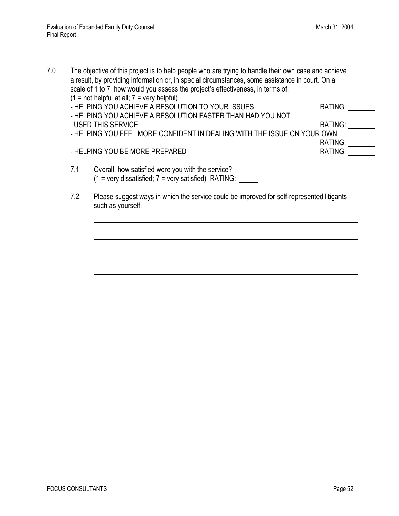- 7.0 The objective of this project is to help people who are trying to handle their own case and achieve a result, by providing information or, in special circumstances, some assistance in court. On a scale of 1 to 7, how would you assess the project's effectiveness, in terms of:  $(1 = not helpful at all; 7 = very helpful)$ - HELPING YOU ACHIEVE A RESOLUTION TO YOUR ISSUES RATING: - HELPING YOU ACHIEVE A RESOLUTION FASTER THAN HAD YOU NOT USED THIS SERVICE **RATING:** And the set of the set of the set of the set of the set of the set of the set of the set of the set of the set of the set of the set of the set of the set of the set of the set of the set of the - HELPING YOU FEEL MORE CONFIDENT IN DEALING WITH THE ISSUE ON YOUR OWN RATING: \_\_\_\_\_\_\_\_\_<br>RATING: \_\_\_\_\_\_\_\_ - HELPING YOU BE MORE PREPARED 7.1 Overall, how satisfied were you with the service?  $(1 = \text{very dissatisfied}; 7 = \text{very satisfied})$  RATING:
	- 7.2 Please suggest ways in which the service could be improved for self-represented litigants such as yourself.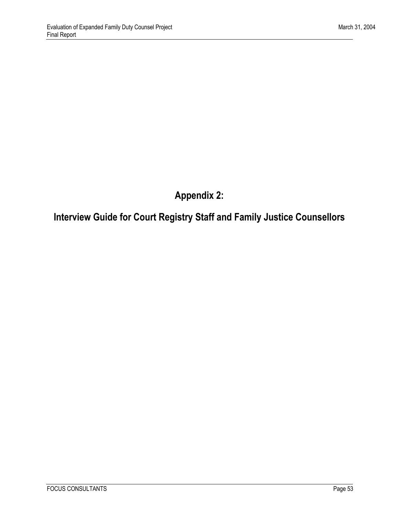**Appendix 2:** 

# <span id="page-60-0"></span>**Interview Guide for Court Registry Staff and Family Justice Counsellors**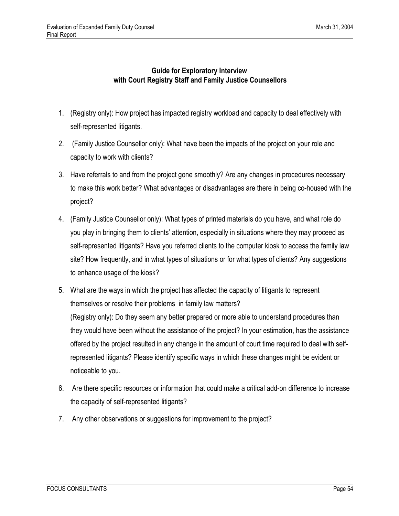#### **Guide for Exploratory Interview with Court Registry Staff and Family Justice Counsellors**

- 1. (Registry only): How project has impacted registry workload and capacity to deal effectively with self-represented litigants.
- 2. (Family Justice Counsellor only): What have been the impacts of the project on your role and capacity to work with clients?
- 3. Have referrals to and from the project gone smoothly? Are any changes in procedures necessary to make this work better? What advantages or disadvantages are there in being co-housed with the project?
- 4. (Family Justice Counsellor only): What types of printed materials do you have, and what role do you play in bringing them to clients' attention, especially in situations where they may proceed as self-represented litigants? Have you referred clients to the computer kiosk to access the family law site? How frequently, and in what types of situations or for what types of clients? Any suggestions to enhance usage of the kiosk?
- 5. What are the ways in which the project has affected the capacity of litigants to represent themselves or resolve their problems in family law matters? (Registry only): Do they seem any better prepared or more able to understand procedures than they would have been without the assistance of the project? In your estimation, has the assistance offered by the project resulted in any change in the amount of court time required to deal with selfrepresented litigants? Please identify specific ways in which these changes might be evident or noticeable to you.
- 6. Are there specific resources or information that could make a critical add-on difference to increase the capacity of self-represented litigants?
- 7. Any other observations or suggestions for improvement to the project?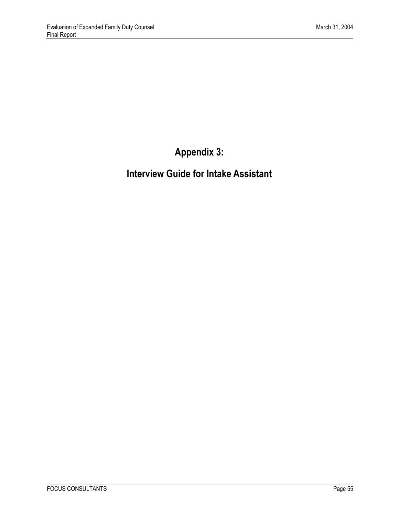# **Appendix 3:**

# <span id="page-62-0"></span>**Interview Guide for Intake Assistant**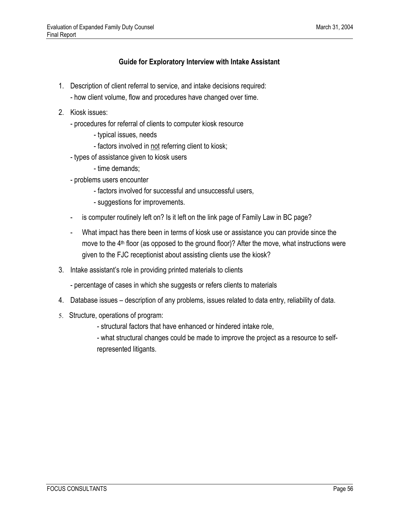#### **Guide for Exploratory Interview with Intake Assistant**

- 1. Description of client referral to service, and intake decisions required:
	- how client volume, flow and procedures have changed over time.
- 2. Kiosk issues:
	- procedures for referral of clients to computer kiosk resource
		- typical issues, needs
		- factors involved in not referring client to kiosk;
	- types of assistance given to kiosk users
		- time demands;
	- problems users encounter
		- factors involved for successful and unsuccessful users,
		- suggestions for improvements.
	- is computer routinely left on? Is it left on the link page of Family Law in BC page?
	- What impact has there been in terms of kiosk use or assistance you can provide since the move to the 4<sup>th</sup> floor (as opposed to the ground floor)? After the move, what instructions were given to the FJC receptionist about assisting clients use the kiosk?
- 3. Intake assistant's role in providing printed materials to clients
	- percentage of cases in which she suggests or refers clients to materials
- 4. Database issues description of any problems, issues related to data entry, reliability of data.
- 5. Structure, operations of program:
	- structural factors that have enhanced or hindered intake role,
	- what structural changes could be made to improve the project as a resource to selfrepresented litigants.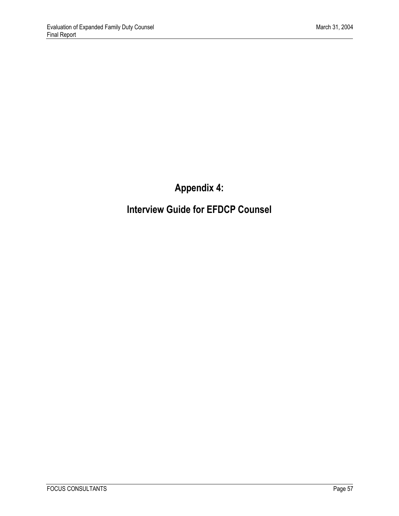# **Appendix 4:**

# <span id="page-64-0"></span>**Interview Guide for EFDCP Counsel**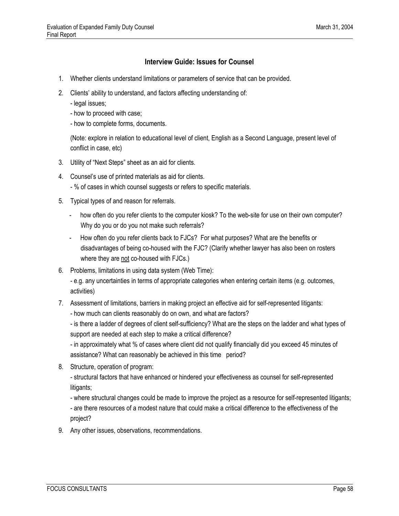#### **Interview Guide: Issues for Counsel**

- 1. Whether clients understand limitations or parameters of service that can be provided.
- 2. Clients' ability to understand, and factors affecting understanding of:
	- legal issues;
	- how to proceed with case;
	- how to complete forms, documents.

(Note: explore in relation to educational level of client, English as a Second Language, present level of conflict in case, etc)

- 3. Utility of "Next Steps" sheet as an aid for clients.
- 4. Counsel's use of printed materials as aid for clients.
	- % of cases in which counsel suggests or refers to specific materials.
- 5. Typical types of and reason for referrals.
	- how often do you refer clients to the computer kiosk? To the web-site for use on their own computer? Why do you or do you not make such referrals?
	- How often do you refer clients back to FJCs? For what purposes? What are the benefits or disadvantages of being co-housed with the FJC? (Clarify whether lawyer has also been on rosters where they are not co-housed with FJCs.)
- 6. Problems, limitations in using data system (Web Time):

- e.g. any uncertainties in terms of appropriate categories when entering certain items (e.g. outcomes, activities)

- 7. Assessment of limitations, barriers in making project an effective aid for self-represented litigants:
	- how much can clients reasonably do on own, and what are factors?

- is there a ladder of degrees of client self-sufficiency? What are the steps on the ladder and what types of support are needed at each step to make a critical difference?

- in approximately what % of cases where client did not qualify financially did you exceed 45 minutes of assistance? What can reasonably be achieved in this time period?

8. Structure, operation of program:

- structural factors that have enhanced or hindered your effectiveness as counsel for self-represented litigants;

- where structural changes could be made to improve the project as a resource for self-represented litigants;

- are there resources of a modest nature that could make a critical difference to the effectiveness of the project?

9. Any other issues, observations, recommendations.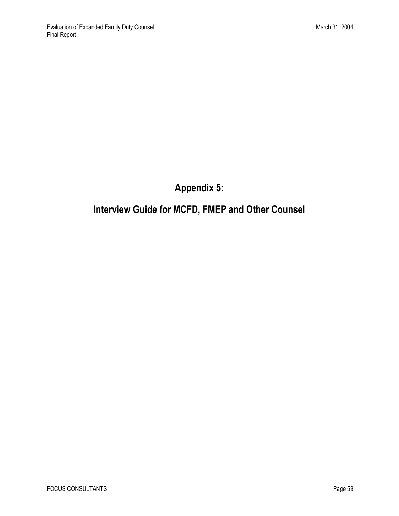# **Appendix 5:**

# <span id="page-66-0"></span>**Interview Guide for MCFD, FMEP and Other Counsel**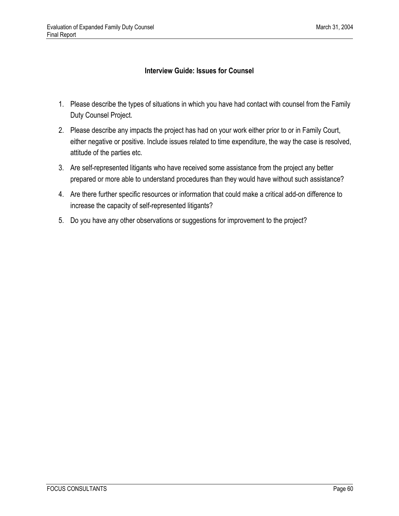#### **Interview Guide: Issues for Counsel**

- 1. Please describe the types of situations in which you have had contact with counsel from the Family Duty Counsel Project.
- 2. Please describe any impacts the project has had on your work either prior to or in Family Court, either negative or positive. Include issues related to time expenditure, the way the case is resolved, attitude of the parties etc.
- 3. Are self-represented litigants who have received some assistance from the project any better prepared or more able to understand procedures than they would have without such assistance?
- 4. Are there further specific resources or information that could make a critical add-on difference to increase the capacity of self-represented litigants?
- 5. Do you have any other observations or suggestions for improvement to the project?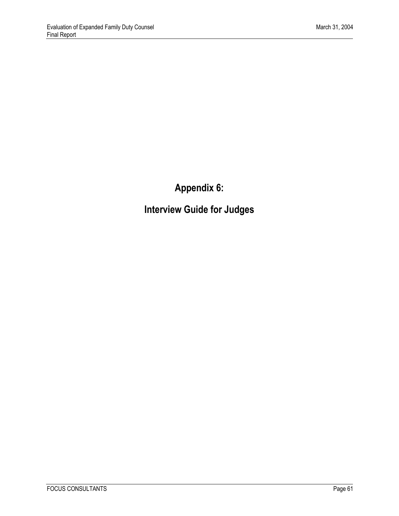**Appendix 6:** 

<span id="page-68-0"></span>**Interview Guide for Judges**